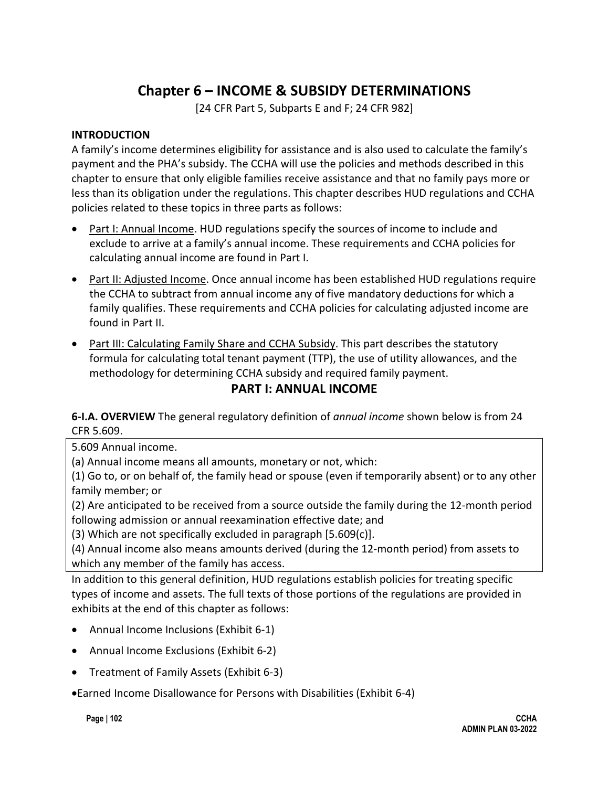# **Chapter 6 – INCOME & SUBSIDY DETERMINATIONS**

[24 CFR Part 5, Subparts E and F; 24 CFR 982]

### **INTRODUCTION**

A family's income determines eligibility for assistance and is also used to calculate the family's payment and the PHA's subsidy. The CCHA will use the policies and methods described in this chapter to ensure that only eligible families receive assistance and that no family pays more or less than its obligation under the regulations. This chapter describes HUD regulations and CCHA policies related to these topics in three parts as follows:

- Part I: Annual Income. HUD regulations specify the sources of income to include and exclude to arrive at a family's annual income. These requirements and CCHA policies for calculating annual income are found in Part I.
- Part II: Adjusted Income. Once annual income has been established HUD regulations require the CCHA to subtract from annual income any of five mandatory deductions for which a family qualifies. These requirements and CCHA policies for calculating adjusted income are found in Part II.
- Part III: Calculating Family Share and CCHA Subsidy. This part describes the statutory formula for calculating total tenant payment (TTP), the use of utility allowances, and the methodology for determining CCHA subsidy and required family payment.

# **PART I: ANNUAL INCOME**

**6-I.A. OVERVIEW** The general regulatory definition of *annual income* shown below is from 24 CFR 5.609.

5.609 Annual income.

(a) Annual income means all amounts, monetary or not, which:

(1) Go to, or on behalf of, the family head or spouse (even if temporarily absent) or to any other family member; or

(2) Are anticipated to be received from a source outside the family during the 12-month period following admission or annual reexamination effective date; and

(3) Which are not specifically excluded in paragraph [5.609(c)].

(4) Annual income also means amounts derived (during the 12-month period) from assets to which any member of the family has access.

In addition to this general definition, HUD regulations establish policies for treating specific types of income and assets. The full texts of those portions of the regulations are provided in exhibits at the end of this chapter as follows:

- Annual Income Inclusions (Exhibit 6-1)
- Annual Income Exclusions (Exhibit 6-2)
- Treatment of Family Assets (Exhibit 6-3)

•Earned Income Disallowance for Persons with Disabilities (Exhibit 6-4)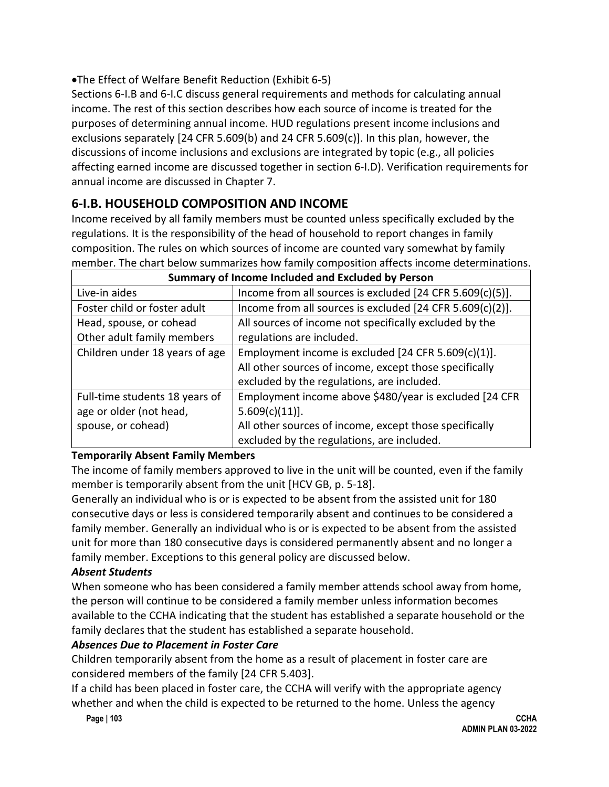•The Effect of Welfare Benefit Reduction (Exhibit 6-5)

Sections 6-I.B and 6-I.C discuss general requirements and methods for calculating annual income. The rest of this section describes how each source of income is treated for the purposes of determining annual income. HUD regulations present income inclusions and exclusions separately [24 CFR 5.609(b) and 24 CFR 5.609(c)]. In this plan, however, the discussions of income inclusions and exclusions are integrated by topic (e.g., all policies affecting earned income are discussed together in section 6-I.D). Verification requirements for annual income are discussed in Chapter 7.

# **6-I.B. HOUSEHOLD COMPOSITION AND INCOME**

Income received by all family members must be counted unless specifically excluded by the regulations. It is the responsibility of the head of household to report changes in family composition. The rules on which sources of income are counted vary somewhat by family member. The chart below summarizes how family composition affects income determinations.

| Summary of Income Included and Excluded by Person |                                                           |  |  |
|---------------------------------------------------|-----------------------------------------------------------|--|--|
| Live-in aides                                     | Income from all sources is excluded [24 CFR 5.609(c)(5)]. |  |  |
| Foster child or foster adult                      | Income from all sources is excluded [24 CFR 5.609(c)(2)]. |  |  |
| Head, spouse, or cohead                           | All sources of income not specifically excluded by the    |  |  |
| Other adult family members                        | regulations are included.                                 |  |  |
| Children under 18 years of age                    | Employment income is excluded [24 CFR 5.609(c)(1)].       |  |  |
|                                                   | All other sources of income, except those specifically    |  |  |
|                                                   | excluded by the regulations, are included.                |  |  |
| Full-time students 18 years of                    | Employment income above \$480/year is excluded [24 CFR    |  |  |
| age or older (not head,                           | $5.609(c)(11)$ .                                          |  |  |
| spouse, or cohead)                                | All other sources of income, except those specifically    |  |  |
|                                                   | excluded by the regulations, are included.                |  |  |

## **Temporarily Absent Family Members**

The income of family members approved to live in the unit will be counted, even if the family member is temporarily absent from the unit [HCV GB, p. 5-18].

Generally an individual who is or is expected to be absent from the assisted unit for 180 consecutive days or less is considered temporarily absent and continues to be considered a family member. Generally an individual who is or is expected to be absent from the assisted unit for more than 180 consecutive days is considered permanently absent and no longer a family member. Exceptions to this general policy are discussed below.

## *Absent Students*

When someone who has been considered a family member attends school away from home, the person will continue to be considered a family member unless information becomes available to the CCHA indicating that the student has established a separate household or the family declares that the student has established a separate household.

## *Absences Due to Placement in Foster Care*

Children temporarily absent from the home as a result of placement in foster care are considered members of the family [24 CFR 5.403].

If a child has been placed in foster care, the CCHA will verify with the appropriate agency whether and when the child is expected to be returned to the home. Unless the agency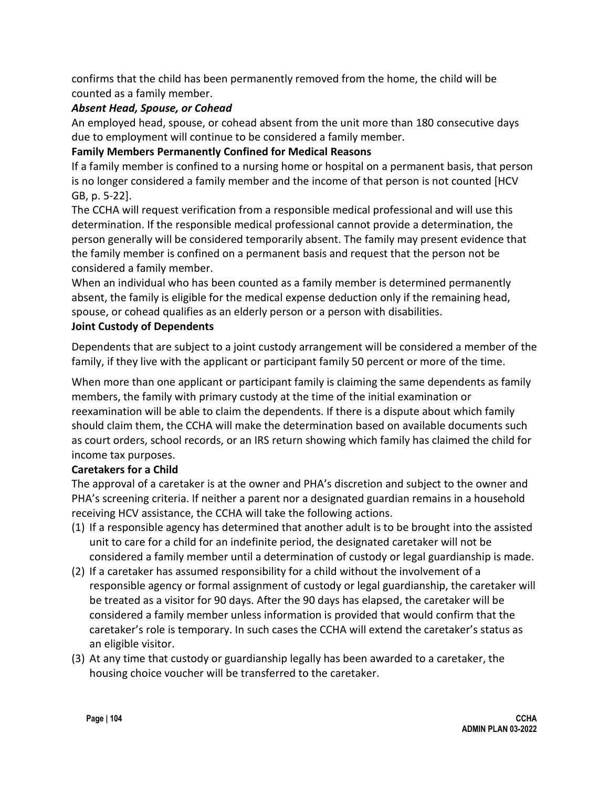confirms that the child has been permanently removed from the home, the child will be counted as a family member.

### *Absent Head, Spouse, or Cohead*

An employed head, spouse, or cohead absent from the unit more than 180 consecutive days due to employment will continue to be considered a family member.

## **Family Members Permanently Confined for Medical Reasons**

If a family member is confined to a nursing home or hospital on a permanent basis, that person is no longer considered a family member and the income of that person is not counted [HCV GB, p. 5-22].

The CCHA will request verification from a responsible medical professional and will use this determination. If the responsible medical professional cannot provide a determination, the person generally will be considered temporarily absent. The family may present evidence that the family member is confined on a permanent basis and request that the person not be considered a family member.

When an individual who has been counted as a family member is determined permanently absent, the family is eligible for the medical expense deduction only if the remaining head, spouse, or cohead qualifies as an elderly person or a person with disabilities.

## **Joint Custody of Dependents**

Dependents that are subject to a joint custody arrangement will be considered a member of the family, if they live with the applicant or participant family 50 percent or more of the time.

When more than one applicant or participant family is claiming the same dependents as family members, the family with primary custody at the time of the initial examination or reexamination will be able to claim the dependents. If there is a dispute about which family should claim them, the CCHA will make the determination based on available documents such as court orders, school records, or an IRS return showing which family has claimed the child for income tax purposes.

## **Caretakers for a Child**

The approval of a caretaker is at the owner and PHA's discretion and subject to the owner and PHA's screening criteria. If neither a parent nor a designated guardian remains in a household receiving HCV assistance, the CCHA will take the following actions.

- (1) If a responsible agency has determined that another adult is to be brought into the assisted unit to care for a child for an indefinite period, the designated caretaker will not be considered a family member until a determination of custody or legal guardianship is made.
- (2) If a caretaker has assumed responsibility for a child without the involvement of a responsible agency or formal assignment of custody or legal guardianship, the caretaker will be treated as a visitor for 90 days. After the 90 days has elapsed, the caretaker will be considered a family member unless information is provided that would confirm that the caretaker's role is temporary. In such cases the CCHA will extend the caretaker's status as an eligible visitor.
- (3) At any time that custody or guardianship legally has been awarded to a caretaker, the housing choice voucher will be transferred to the caretaker.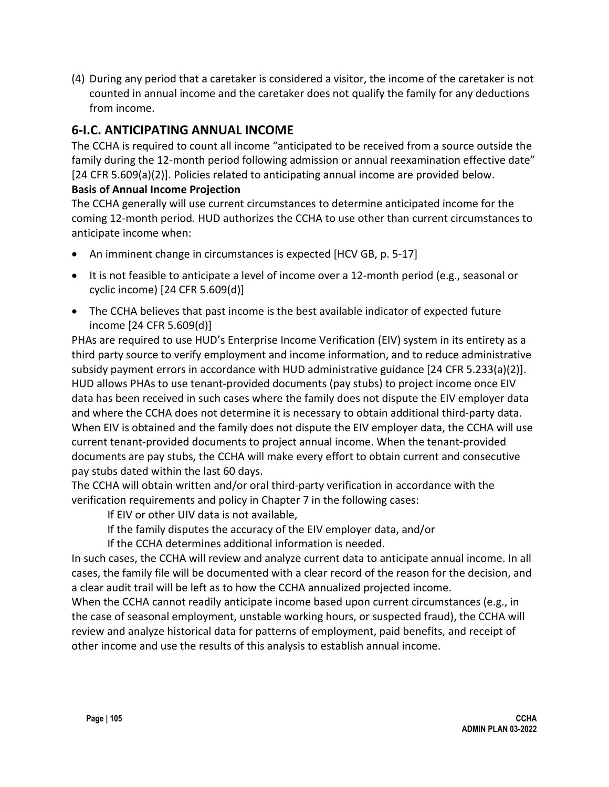(4) During any period that a caretaker is considered a visitor, the income of the caretaker is not counted in annual income and the caretaker does not qualify the family for any deductions from income.

# **6-I.C. ANTICIPATING ANNUAL INCOME**

The CCHA is required to count all income "anticipated to be received from a source outside the family during the 12-month period following admission or annual reexamination effective date" [24 CFR 5.609(a)(2)]. Policies related to anticipating annual income are provided below.

### **Basis of Annual Income Projection**

The CCHA generally will use current circumstances to determine anticipated income for the coming 12-month period. HUD authorizes the CCHA to use other than current circumstances to anticipate income when:

- An imminent change in circumstances is expected [HCV GB, p. 5-17]
- It is not feasible to anticipate a level of income over a 12-month period (e.g., seasonal or cyclic income) [24 CFR 5.609(d)]
- The CCHA believes that past income is the best available indicator of expected future income [24 CFR 5.609(d)]

PHAs are required to use HUD's Enterprise Income Verification (EIV) system in its entirety as a third party source to verify employment and income information, and to reduce administrative subsidy payment errors in accordance with HUD administrative guidance [24 CFR 5.233(a)(2)]. HUD allows PHAs to use tenant-provided documents (pay stubs) to project income once EIV data has been received in such cases where the family does not dispute the EIV employer data and where the CCHA does not determine it is necessary to obtain additional third-party data. When EIV is obtained and the family does not dispute the EIV employer data, the CCHA will use current tenant-provided documents to project annual income. When the tenant-provided documents are pay stubs, the CCHA will make every effort to obtain current and consecutive pay stubs dated within the last 60 days.

The CCHA will obtain written and/or oral third-party verification in accordance with the verification requirements and policy in Chapter 7 in the following cases:

If EIV or other UIV data is not available,

If the family disputes the accuracy of the EIV employer data, and/or

If the CCHA determines additional information is needed.

In such cases, the CCHA will review and analyze current data to anticipate annual income. In all cases, the family file will be documented with a clear record of the reason for the decision, and a clear audit trail will be left as to how the CCHA annualized projected income.

When the CCHA cannot readily anticipate income based upon current circumstances (e.g., in the case of seasonal employment, unstable working hours, or suspected fraud), the CCHA will review and analyze historical data for patterns of employment, paid benefits, and receipt of other income and use the results of this analysis to establish annual income.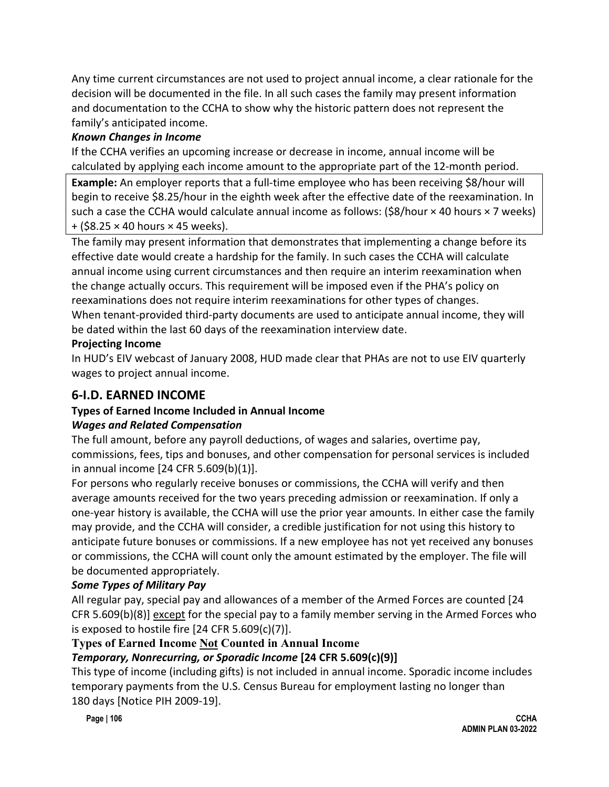Any time current circumstances are not used to project annual income, a clear rationale for the decision will be documented in the file. In all such cases the family may present information and documentation to the CCHA to show why the historic pattern does not represent the family's anticipated income.

### *Known Changes in Income*

If the CCHA verifies an upcoming increase or decrease in income, annual income will be calculated by applying each income amount to the appropriate part of the 12-month period.

**Example:** An employer reports that a full-time employee who has been receiving \$8/hour will begin to receive \$8.25/hour in the eighth week after the effective date of the reexamination. In such a case the CCHA would calculate annual income as follows:  $(\frac{58}{hour} \times 40$  hours  $\times 7$  weeks)  $+$  (\$8.25  $\times$  40 hours  $\times$  45 weeks).

The family may present information that demonstrates that implementing a change before its effective date would create a hardship for the family. In such cases the CCHA will calculate annual income using current circumstances and then require an interim reexamination when the change actually occurs. This requirement will be imposed even if the PHA's policy on reexaminations does not require interim reexaminations for other types of changes. When tenant-provided third-party documents are used to anticipate annual income, they will be dated within the last 60 days of the reexamination interview date.

### **Projecting Income**

In HUD's EIV webcast of January 2008, HUD made clear that PHAs are not to use EIV quarterly wages to project annual income.

# **6-I.D. EARNED INCOME**

## **Types of Earned Income Included in Annual Income**

### *Wages and Related Compensation*

The full amount, before any payroll deductions, of wages and salaries, overtime pay, commissions, fees, tips and bonuses, and other compensation for personal services is included in annual income [24 CFR 5.609(b)(1)].

For persons who regularly receive bonuses or commissions, the CCHA will verify and then average amounts received for the two years preceding admission or reexamination. If only a one-year history is available, the CCHA will use the prior year amounts. In either case the family may provide, and the CCHA will consider, a credible justification for not using this history to anticipate future bonuses or commissions. If a new employee has not yet received any bonuses or commissions, the CCHA will count only the amount estimated by the employer. The file will be documented appropriately.

## *Some Types of Military Pay*

All regular pay, special pay and allowances of a member of the Armed Forces are counted [24 CFR 5.609(b)(8)] except for the special pay to a family member serving in the Armed Forces who is exposed to hostile fire  $[24 \text{ CFR } 5.609(c)(7)].$ 

## **Types of Earned Income Not Counted in Annual Income**

## *Temporary, Nonrecurring, or Sporadic Income* **[24 CFR 5.609(c)(9)]**

This type of income (including gifts) is not included in annual income. Sporadic income includes temporary payments from the U.S. Census Bureau for employment lasting no longer than 180 days [Notice PIH 2009-19].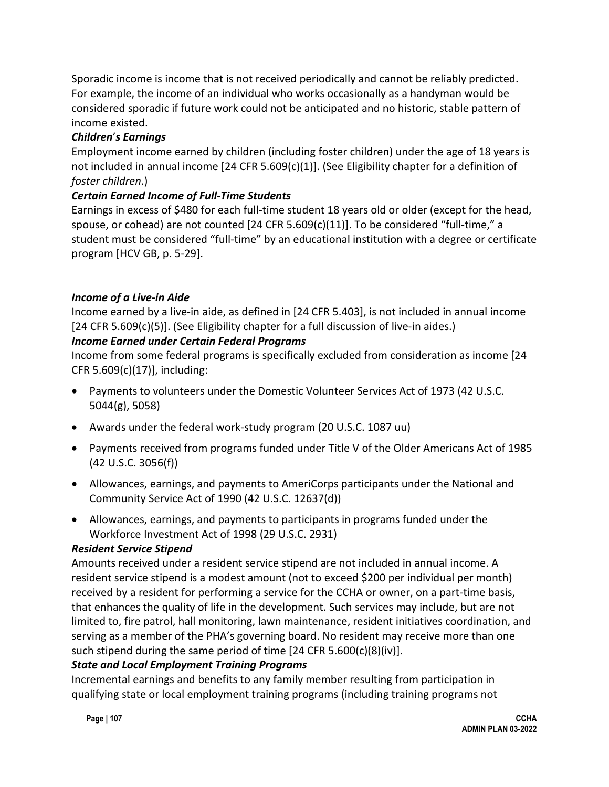Sporadic income is income that is not received periodically and cannot be reliably predicted. For example, the income of an individual who works occasionally as a handyman would be considered sporadic if future work could not be anticipated and no historic, stable pattern of income existed.

## *Children*'*s Earnings*

Employment income earned by children (including foster children) under the age of 18 years is not included in annual income [24 CFR 5.609(c)(1)]. (See Eligibility chapter for a definition of *foster children*.)

## *Certain Earned Income of Full-Time Students*

Earnings in excess of \$480 for each full-time student 18 years old or older (except for the head, spouse, or cohead) are not counted  $[24$  CFR 5.609(c)(11)]. To be considered "full-time," a student must be considered "full-time" by an educational institution with a degree or certificate program [HCV GB, p. 5-29].

## *Income of a Live-in Aide*

Income earned by a live-in aide, as defined in [24 CFR 5.403], is not included in annual income [24 CFR 5.609(c)(5)]. (See Eligibility chapter for a full discussion of live-in aides.)

## *Income Earned under Certain Federal Programs*

Income from some federal programs is specifically excluded from consideration as income [24 CFR 5.609(c)(17)], including:

- Payments to volunteers under the Domestic Volunteer Services Act of 1973 (42 U.S.C. 5044(g), 5058)
- Awards under the federal work-study program (20 U.S.C. 1087 uu)
- Payments received from programs funded under Title V of the Older Americans Act of 1985 (42 U.S.C. 3056(f))
- Allowances, earnings, and payments to AmeriCorps participants under the National and Community Service Act of 1990 (42 U.S.C. 12637(d))
- Allowances, earnings, and payments to participants in programs funded under the Workforce Investment Act of 1998 (29 U.S.C. 2931)

## *Resident Service Stipend*

Amounts received under a resident service stipend are not included in annual income. A resident service stipend is a modest amount (not to exceed \$200 per individual per month) received by a resident for performing a service for the CCHA or owner, on a part-time basis, that enhances the quality of life in the development. Such services may include, but are not limited to, fire patrol, hall monitoring, lawn maintenance, resident initiatives coordination, and serving as a member of the PHA's governing board. No resident may receive more than one such stipend during the same period of time [24 CFR 5.600(c)(8)(iv)].

## *State and Local Employment Training Programs*

Incremental earnings and benefits to any family member resulting from participation in qualifying state or local employment training programs (including training programs not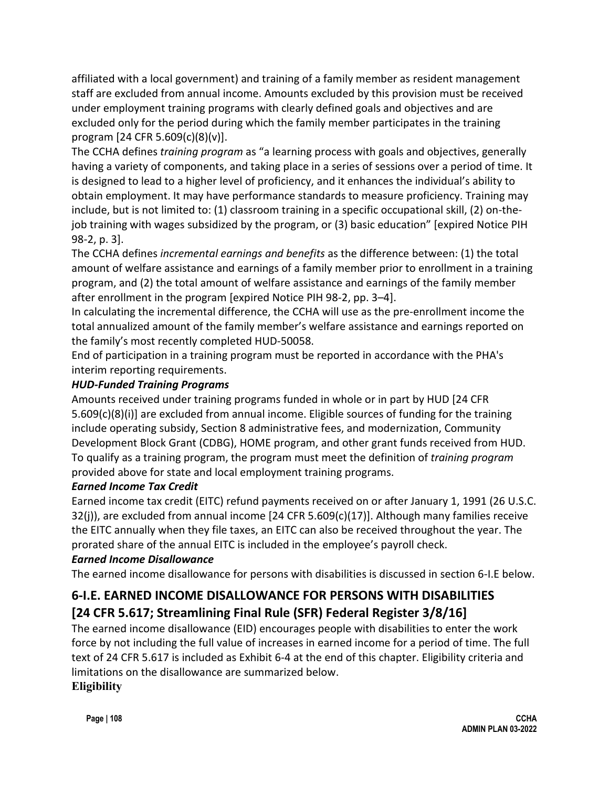affiliated with a local government) and training of a family member as resident management staff are excluded from annual income. Amounts excluded by this provision must be received under employment training programs with clearly defined goals and objectives and are excluded only for the period during which the family member participates in the training program [24 CFR 5.609(c)(8)(v)].

The CCHA defines *training program* as "a learning process with goals and objectives, generally having a variety of components, and taking place in a series of sessions over a period of time. It is designed to lead to a higher level of proficiency, and it enhances the individual's ability to obtain employment. It may have performance standards to measure proficiency. Training may include, but is not limited to: (1) classroom training in a specific occupational skill, (2) on-thejob training with wages subsidized by the program, or (3) basic education" [expired Notice PIH 98-2, p. 3].

The CCHA defines *incremental earnings and benefits* as the difference between: (1) the total amount of welfare assistance and earnings of a family member prior to enrollment in a training program, and (2) the total amount of welfare assistance and earnings of the family member after enrollment in the program [expired Notice PIH 98-2, pp. 3–4].

In calculating the incremental difference, the CCHA will use as the pre-enrollment income the total annualized amount of the family member's welfare assistance and earnings reported on the family's most recently completed HUD-50058.

End of participation in a training program must be reported in accordance with the PHA's interim reporting requirements.

## *HUD-Funded Training Programs*

Amounts received under training programs funded in whole or in part by HUD [24 CFR 5.609(c)(8)(i)] are excluded from annual income. Eligible sources of funding for the training include operating subsidy, Section 8 administrative fees, and modernization, Community Development Block Grant (CDBG), HOME program, and other grant funds received from HUD. To qualify as a training program, the program must meet the definition of *training program* provided above for state and local employment training programs.

## *Earned Income Tax Credit*

Earned income tax credit (EITC) refund payments received on or after January 1, 1991 (26 U.S.C.  $32(j)$ ), are excluded from annual income [24 CFR 5.609(c)(17)]. Although many families receive the EITC annually when they file taxes, an EITC can also be received throughout the year. The prorated share of the annual EITC is included in the employee's payroll check.

## *Earned Income Disallowance*

The earned income disallowance for persons with disabilities is discussed in section 6-I.E below.

# **6-I.E. EARNED INCOME DISALLOWANCE FOR PERSONS WITH DISABILITIES [24 CFR 5.617; Streamlining Final Rule (SFR) Federal Register 3/8/16]**

The earned income disallowance (EID) encourages people with disabilities to enter the work force by not including the full value of increases in earned income for a period of time. The full text of 24 CFR 5.617 is included as Exhibit 6-4 at the end of this chapter. Eligibility criteria and limitations on the disallowance are summarized below. **Eligibility**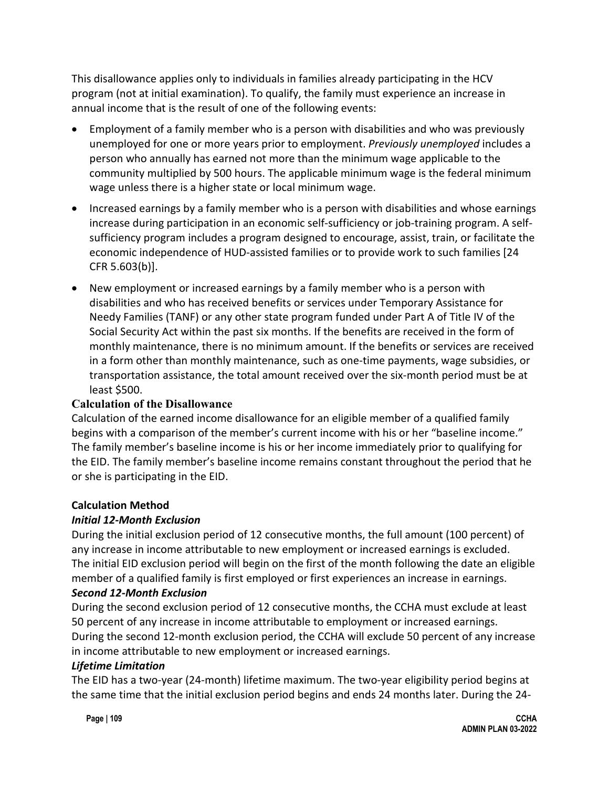This disallowance applies only to individuals in families already participating in the HCV program (not at initial examination). To qualify, the family must experience an increase in annual income that is the result of one of the following events:

- Employment of a family member who is a person with disabilities and who was previously unemployed for one or more years prior to employment. *Previously unemployed* includes a person who annually has earned not more than the minimum wage applicable to the community multiplied by 500 hours. The applicable minimum wage is the federal minimum wage unless there is a higher state or local minimum wage.
- Increased earnings by a family member who is a person with disabilities and whose earnings increase during participation in an economic self-sufficiency or job-training program. A selfsufficiency program includes a program designed to encourage, assist, train, or facilitate the economic independence of HUD-assisted families or to provide work to such families [24 CFR 5.603(b)].
- New employment or increased earnings by a family member who is a person with disabilities and who has received benefits or services under Temporary Assistance for Needy Families (TANF) or any other state program funded under Part A of Title IV of the Social Security Act within the past six months. If the benefits are received in the form of monthly maintenance, there is no minimum amount. If the benefits or services are received in a form other than monthly maintenance, such as one-time payments, wage subsidies, or transportation assistance, the total amount received over the six-month period must be at least \$500.

### **Calculation of the Disallowance**

Calculation of the earned income disallowance for an eligible member of a qualified family begins with a comparison of the member's current income with his or her "baseline income." The family member's baseline income is his or her income immediately prior to qualifying for the EID. The family member's baseline income remains constant throughout the period that he or she is participating in the EID.

### **Calculation Method**

## *Initial 12-Month Exclusion*

During the initial exclusion period of 12 consecutive months, the full amount (100 percent) of any increase in income attributable to new employment or increased earnings is excluded. The initial EID exclusion period will begin on the first of the month following the date an eligible member of a qualified family is first employed or first experiences an increase in earnings.

### *Second 12-Month Exclusion*

During the second exclusion period of 12 consecutive months, the CCHA must exclude at least 50 percent of any increase in income attributable to employment or increased earnings. During the second 12-month exclusion period, the CCHA will exclude 50 percent of any increase in income attributable to new employment or increased earnings.

### *Lifetime Limitation*

The EID has a two-year (24-month) lifetime maximum. The two-year eligibility period begins at the same time that the initial exclusion period begins and ends 24 months later. During the 24-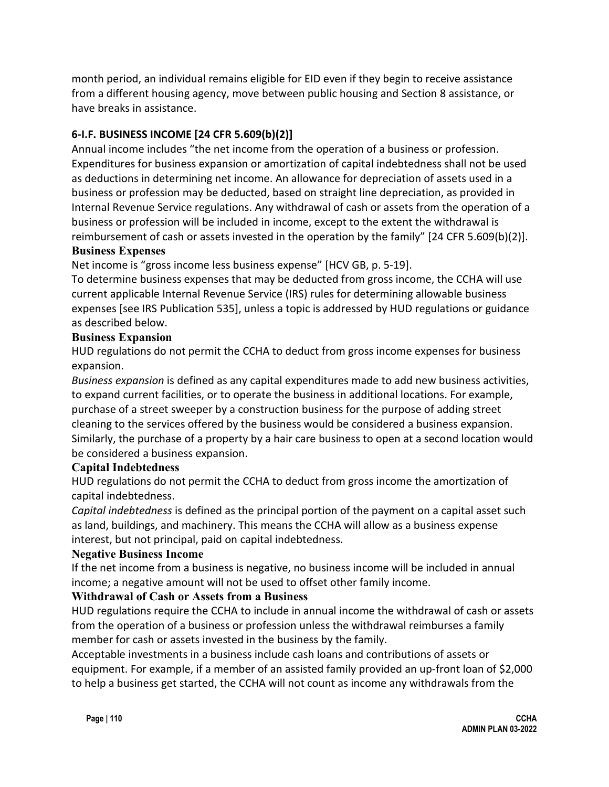month period, an individual remains eligible for EID even if they begin to receive assistance from a different housing agency, move between public housing and Section 8 assistance, or have breaks in assistance.

## **6-I.F. BUSINESS INCOME [24 CFR 5.609(b)(2)]**

Annual income includes "the net income from the operation of a business or profession. Expenditures for business expansion or amortization of capital indebtedness shall not be used as deductions in determining net income. An allowance for depreciation of assets used in a business or profession may be deducted, based on straight line depreciation, as provided in Internal Revenue Service regulations. Any withdrawal of cash or assets from the operation of a business or profession will be included in income, except to the extent the withdrawal is reimbursement of cash or assets invested in the operation by the family" [24 CFR 5.609(b)(2)]. **Business Expenses**

Net income is "gross income less business expense" [HCV GB, p. 5-19].

To determine business expenses that may be deducted from gross income, the CCHA will use current applicable Internal Revenue Service (IRS) rules for determining allowable business expenses [see IRS Publication 535], unless a topic is addressed by HUD regulations or guidance as described below.

### **Business Expansion**

HUD regulations do not permit the CCHA to deduct from gross income expenses for business expansion.

*Business expansion* is defined as any capital expenditures made to add new business activities, to expand current facilities, or to operate the business in additional locations. For example, purchase of a street sweeper by a construction business for the purpose of adding street cleaning to the services offered by the business would be considered a business expansion. Similarly, the purchase of a property by a hair care business to open at a second location would be considered a business expansion.

### **Capital Indebtedness**

HUD regulations do not permit the CCHA to deduct from gross income the amortization of capital indebtedness.

*Capital indebtedness* is defined as the principal portion of the payment on a capital asset such as land, buildings, and machinery. This means the CCHA will allow as a business expense interest, but not principal, paid on capital indebtedness.

### **Negative Business Income**

If the net income from a business is negative, no business income will be included in annual income; a negative amount will not be used to offset other family income.

### **Withdrawal of Cash or Assets from a Business**

HUD regulations require the CCHA to include in annual income the withdrawal of cash or assets from the operation of a business or profession unless the withdrawal reimburses a family member for cash or assets invested in the business by the family.

Acceptable investments in a business include cash loans and contributions of assets or equipment. For example, if a member of an assisted family provided an up-front loan of \$2,000 to help a business get started, the CCHA will not count as income any withdrawals from the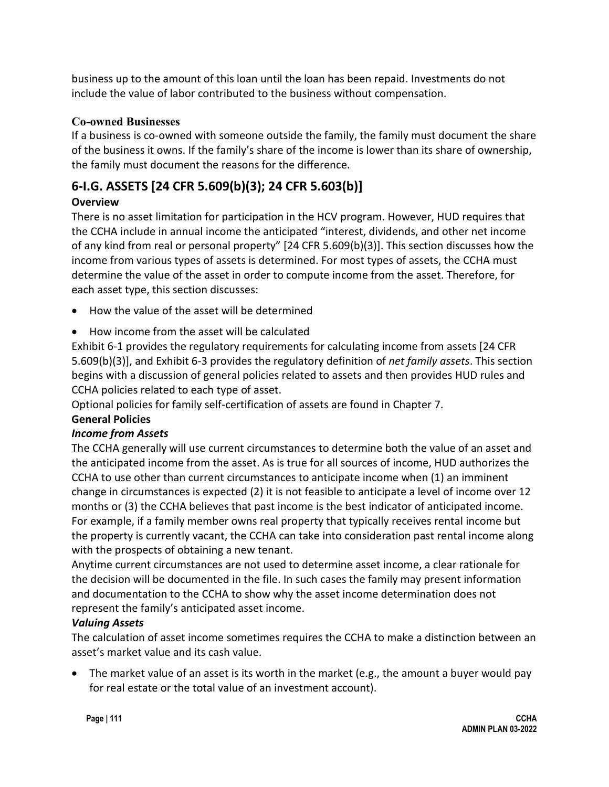business up to the amount of this loan until the loan has been repaid. Investments do not include the value of labor contributed to the business without compensation.

## **Co-owned Businesses**

If a business is co-owned with someone outside the family, the family must document the share of the business it owns. If the family's share of the income is lower than its share of ownership, the family must document the reasons for the difference.

# **6-I.G. ASSETS [24 CFR 5.609(b)(3); 24 CFR 5.603(b)]**

## **Overview**

There is no asset limitation for participation in the HCV program. However, HUD requires that the CCHA include in annual income the anticipated "interest, dividends, and other net income of any kind from real or personal property" [24 CFR 5.609(b)(3)]. This section discusses how the income from various types of assets is determined. For most types of assets, the CCHA must determine the value of the asset in order to compute income from the asset. Therefore, for each asset type, this section discusses:

- How the value of the asset will be determined
- How income from the asset will be calculated

Exhibit 6-1 provides the regulatory requirements for calculating income from assets [24 CFR 5.609(b)(3)], and Exhibit 6-3 provides the regulatory definition of *net family assets*. This section begins with a discussion of general policies related to assets and then provides HUD rules and CCHA policies related to each type of asset.

Optional policies for family self-certification of assets are found in Chapter 7.

## **General Policies**

## *Income from Assets*

The CCHA generally will use current circumstances to determine both the value of an asset and the anticipated income from the asset. As is true for all sources of income, HUD authorizes the CCHA to use other than current circumstances to anticipate income when (1) an imminent change in circumstances is expected (2) it is not feasible to anticipate a level of income over 12 months or (3) the CCHA believes that past income is the best indicator of anticipated income. For example, if a family member owns real property that typically receives rental income but the property is currently vacant, the CCHA can take into consideration past rental income along with the prospects of obtaining a new tenant.

Anytime current circumstances are not used to determine asset income, a clear rationale for the decision will be documented in the file. In such cases the family may present information and documentation to the CCHA to show why the asset income determination does not represent the family's anticipated asset income.

## *Valuing Assets*

The calculation of asset income sometimes requires the CCHA to make a distinction between an asset's market value and its cash value.

• The market value of an asset is its worth in the market (e.g., the amount a buyer would pay for real estate or the total value of an investment account).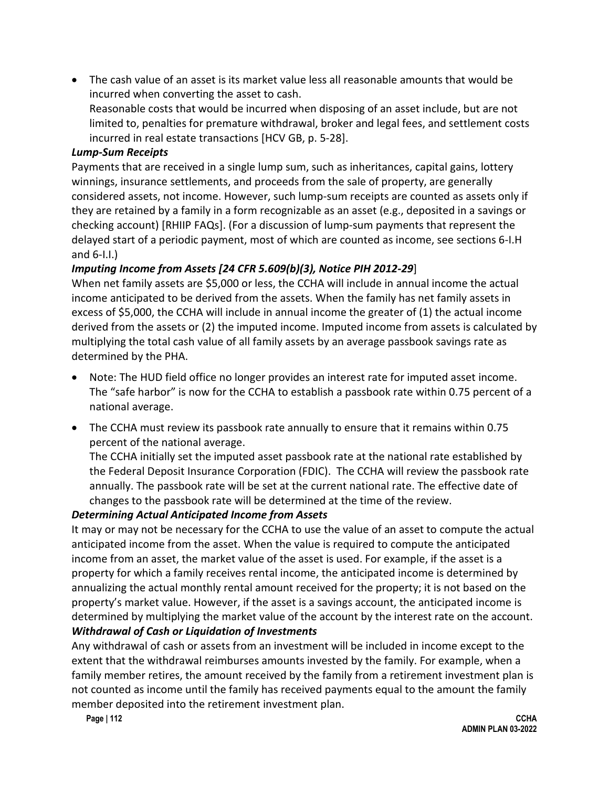• The cash value of an asset is its market value less all reasonable amounts that would be incurred when converting the asset to cash.

Reasonable costs that would be incurred when disposing of an asset include, but are not limited to, penalties for premature withdrawal, broker and legal fees, and settlement costs incurred in real estate transactions [HCV GB, p. 5-28].

#### *Lump-Sum Receipts*

Payments that are received in a single lump sum, such as inheritances, capital gains, lottery winnings, insurance settlements, and proceeds from the sale of property, are generally considered assets, not income. However, such lump-sum receipts are counted as assets only if they are retained by a family in a form recognizable as an asset (e.g., deposited in a savings or checking account) [RHIIP FAQs]. (For a discussion of lump-sum payments that represent the delayed start of a periodic payment, most of which are counted as income, see sections 6-I.H and 6-I.I.)

### *Imputing Income from Assets [24 CFR 5.609(b)(3), Notice PIH 2012-29*]

When net family assets are \$5,000 or less, the CCHA will include in annual income the actual income anticipated to be derived from the assets. When the family has net family assets in excess of \$5,000, the CCHA will include in annual income the greater of (1) the actual income derived from the assets or (2) the imputed income. Imputed income from assets is calculated by multiplying the total cash value of all family assets by an average passbook savings rate as determined by the PHA.

- Note: The HUD field office no longer provides an interest rate for imputed asset income. The "safe harbor" is now for the CCHA to establish a passbook rate within 0.75 percent of a national average.
- The CCHA must review its passbook rate annually to ensure that it remains within 0.75 percent of the national average.

The CCHA initially set the imputed asset passbook rate at the national rate established by the Federal Deposit Insurance Corporation (FDIC). The CCHA will review the passbook rate annually. The passbook rate will be set at the current national rate. The effective date of changes to the passbook rate will be determined at the time of the review.

### *Determining Actual Anticipated Income from Assets*

It may or may not be necessary for the CCHA to use the value of an asset to compute the actual anticipated income from the asset. When the value is required to compute the anticipated income from an asset, the market value of the asset is used. For example, if the asset is a property for which a family receives rental income, the anticipated income is determined by annualizing the actual monthly rental amount received for the property; it is not based on the property's market value. However, if the asset is a savings account, the anticipated income is determined by multiplying the market value of the account by the interest rate on the account. *Withdrawal of Cash or Liquidation of Investments* 

Any withdrawal of cash or assets from an investment will be included in income except to the extent that the withdrawal reimburses amounts invested by the family. For example, when a family member retires, the amount received by the family from a retirement investment plan is not counted as income until the family has received payments equal to the amount the family member deposited into the retirement investment plan.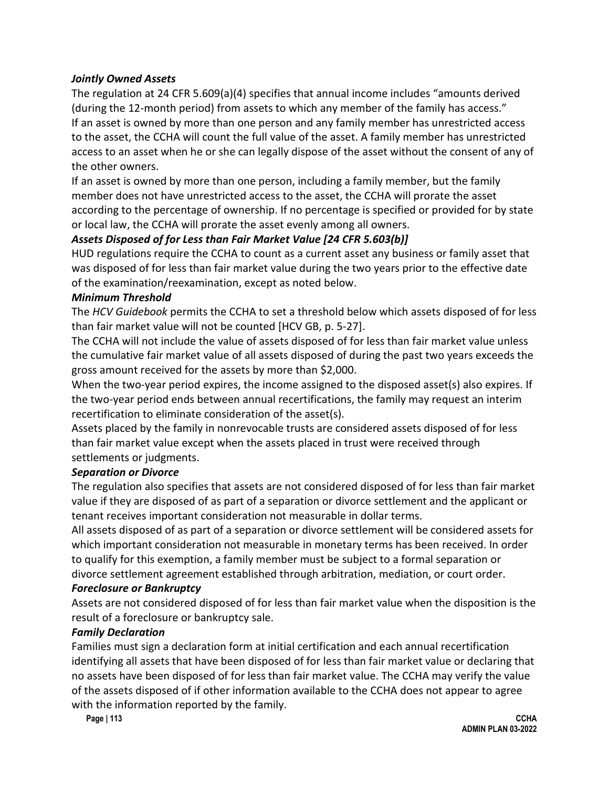#### *Jointly Owned Assets*

The regulation at 24 CFR 5.609(a)(4) specifies that annual income includes "amounts derived (during the 12-month period) from assets to which any member of the family has access." If an asset is owned by more than one person and any family member has unrestricted access to the asset, the CCHA will count the full value of the asset. A family member has unrestricted access to an asset when he or she can legally dispose of the asset without the consent of any of the other owners.

If an asset is owned by more than one person, including a family member, but the family member does not have unrestricted access to the asset, the CCHA will prorate the asset according to the percentage of ownership. If no percentage is specified or provided for by state or local law, the CCHA will prorate the asset evenly among all owners.

### *Assets Disposed of for Less than Fair Market Value [24 CFR 5.603(b)]*

HUD regulations require the CCHA to count as a current asset any business or family asset that was disposed of for less than fair market value during the two years prior to the effective date of the examination/reexamination, except as noted below.

#### *Minimum Threshold*

The *HCV Guidebook* permits the CCHA to set a threshold below which assets disposed of for less than fair market value will not be counted [HCV GB, p. 5-27].

The CCHA will not include the value of assets disposed of for less than fair market value unless the cumulative fair market value of all assets disposed of during the past two years exceeds the gross amount received for the assets by more than \$2,000.

When the two-year period expires, the income assigned to the disposed asset(s) also expires. If the two-year period ends between annual recertifications, the family may request an interim recertification to eliminate consideration of the asset(s).

Assets placed by the family in nonrevocable trusts are considered assets disposed of for less than fair market value except when the assets placed in trust were received through settlements or judgments.

### *Separation or Divorce*

The regulation also specifies that assets are not considered disposed of for less than fair market value if they are disposed of as part of a separation or divorce settlement and the applicant or tenant receives important consideration not measurable in dollar terms.

All assets disposed of as part of a separation or divorce settlement will be considered assets for which important consideration not measurable in monetary terms has been received. In order to qualify for this exemption, a family member must be subject to a formal separation or divorce settlement agreement established through arbitration, mediation, or court order.

#### *Foreclosure or Bankruptcy*

Assets are not considered disposed of for less than fair market value when the disposition is the result of a foreclosure or bankruptcy sale.

#### *Family Declaration*

Families must sign a declaration form at initial certification and each annual recertification identifying all assets that have been disposed of for less than fair market value or declaring that no assets have been disposed of for less than fair market value. The CCHA may verify the value of the assets disposed of if other information available to the CCHA does not appear to agree with the information reported by the family.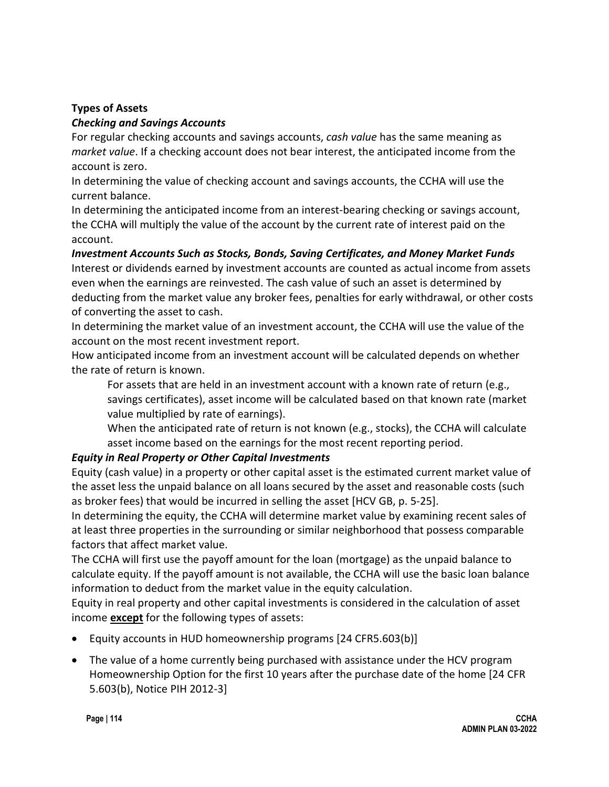### **Types of Assets**

#### *Checking and Savings Accounts*

For regular checking accounts and savings accounts, *cash value* has the same meaning as *market value*. If a checking account does not bear interest, the anticipated income from the account is zero.

In determining the value of checking account and savings accounts, the CCHA will use the current balance.

In determining the anticipated income from an interest-bearing checking or savings account, the CCHA will multiply the value of the account by the current rate of interest paid on the account.

### *Investment Accounts Such as Stocks, Bonds, Saving Certificates, and Money Market Funds*

Interest or dividends earned by investment accounts are counted as actual income from assets even when the earnings are reinvested. The cash value of such an asset is determined by deducting from the market value any broker fees, penalties for early withdrawal, or other costs of converting the asset to cash.

In determining the market value of an investment account, the CCHA will use the value of the account on the most recent investment report.

How anticipated income from an investment account will be calculated depends on whether the rate of return is known.

For assets that are held in an investment account with a known rate of return (e.g., savings certificates), asset income will be calculated based on that known rate (market value multiplied by rate of earnings).

When the anticipated rate of return is not known (e.g., stocks), the CCHA will calculate asset income based on the earnings for the most recent reporting period.

### *Equity in Real Property or Other Capital Investments*

Equity (cash value) in a property or other capital asset is the estimated current market value of the asset less the unpaid balance on all loans secured by the asset and reasonable costs (such as broker fees) that would be incurred in selling the asset [HCV GB, p. 5-25].

In determining the equity, the CCHA will determine market value by examining recent sales of at least three properties in the surrounding or similar neighborhood that possess comparable factors that affect market value.

The CCHA will first use the payoff amount for the loan (mortgage) as the unpaid balance to calculate equity. If the payoff amount is not available, the CCHA will use the basic loan balance information to deduct from the market value in the equity calculation.

Equity in real property and other capital investments is considered in the calculation of asset income **except** for the following types of assets:

- Equity accounts in HUD homeownership programs [24 CFR5.603(b)]
- The value of a home currently being purchased with assistance under the HCV program Homeownership Option for the first 10 years after the purchase date of the home [24 CFR 5.603(b), Notice PIH 2012-3]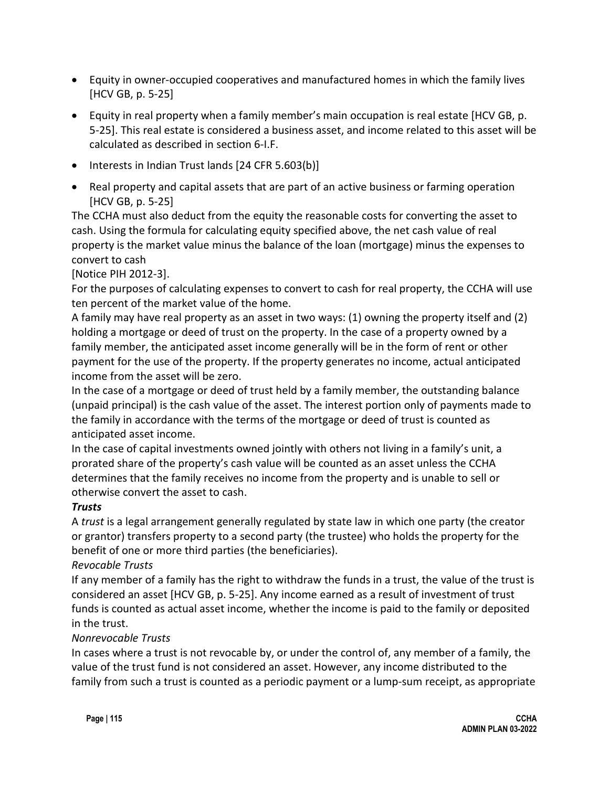- Equity in owner-occupied cooperatives and manufactured homes in which the family lives [HCV GB, p. 5-25]
- Equity in real property when a family member's main occupation is real estate [HCV GB, p. 5-25]. This real estate is considered a business asset, and income related to this asset will be calculated as described in section 6-I.F.
- Interests in Indian Trust lands [24 CFR 5.603(b)]
- Real property and capital assets that are part of an active business or farming operation [HCV GB, p. 5-25]

The CCHA must also deduct from the equity the reasonable costs for converting the asset to cash. Using the formula for calculating equity specified above, the net cash value of real property is the market value minus the balance of the loan (mortgage) minus the expenses to convert to cash

[Notice PIH 2012-3].

For the purposes of calculating expenses to convert to cash for real property, the CCHA will use ten percent of the market value of the home.

A family may have real property as an asset in two ways: (1) owning the property itself and (2) holding a mortgage or deed of trust on the property. In the case of a property owned by a family member, the anticipated asset income generally will be in the form of rent or other payment for the use of the property. If the property generates no income, actual anticipated income from the asset will be zero.

In the case of a mortgage or deed of trust held by a family member, the outstanding balance (unpaid principal) is the cash value of the asset. The interest portion only of payments made to the family in accordance with the terms of the mortgage or deed of trust is counted as anticipated asset income.

In the case of capital investments owned jointly with others not living in a family's unit, a prorated share of the property's cash value will be counted as an asset unless the CCHA determines that the family receives no income from the property and is unable to sell or otherwise convert the asset to cash.

### *Trusts*

A *trust* is a legal arrangement generally regulated by state law in which one party (the creator or grantor) transfers property to a second party (the trustee) who holds the property for the benefit of one or more third parties (the beneficiaries).

### *Revocable Trusts*

If any member of a family has the right to withdraw the funds in a trust, the value of the trust is considered an asset [HCV GB, p. 5-25]. Any income earned as a result of investment of trust funds is counted as actual asset income, whether the income is paid to the family or deposited in the trust.

### *Nonrevocable Trusts*

In cases where a trust is not revocable by, or under the control of, any member of a family, the value of the trust fund is not considered an asset. However, any income distributed to the family from such a trust is counted as a periodic payment or a lump-sum receipt, as appropriate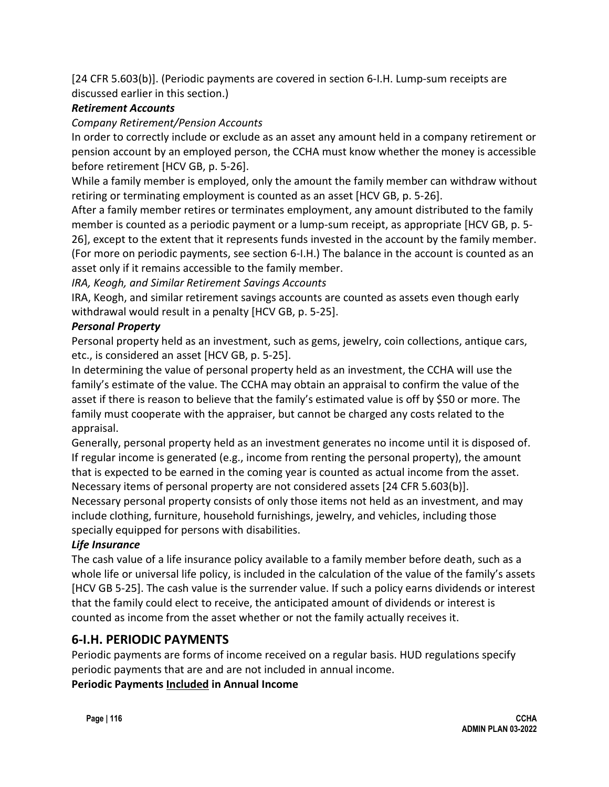[24 CFR 5.603(b)]. (Periodic payments are covered in section 6-I.H. Lump-sum receipts are discussed earlier in this section.)

## *Retirement Accounts*

### *Company Retirement/Pension Accounts*

In order to correctly include or exclude as an asset any amount held in a company retirement or pension account by an employed person, the CCHA must know whether the money is accessible before retirement [HCV GB, p. 5-26].

While a family member is employed, only the amount the family member can withdraw without retiring or terminating employment is counted as an asset [HCV GB, p. 5-26].

After a family member retires or terminates employment, any amount distributed to the family member is counted as a periodic payment or a lump-sum receipt, as appropriate [HCV GB, p. 5- 26], except to the extent that it represents funds invested in the account by the family member. (For more on periodic payments, see section 6-I.H.) The balance in the account is counted as an asset only if it remains accessible to the family member.

*IRA, Keogh, and Similar Retirement Savings Accounts*

IRA, Keogh, and similar retirement savings accounts are counted as assets even though early withdrawal would result in a penalty [HCV GB, p. 5-25].

### *Personal Property*

Personal property held as an investment, such as gems, jewelry, coin collections, antique cars, etc., is considered an asset [HCV GB, p. 5-25].

In determining the value of personal property held as an investment, the CCHA will use the family's estimate of the value. The CCHA may obtain an appraisal to confirm the value of the asset if there is reason to believe that the family's estimated value is off by \$50 or more. The family must cooperate with the appraiser, but cannot be charged any costs related to the appraisal.

Generally, personal property held as an investment generates no income until it is disposed of. If regular income is generated (e.g., income from renting the personal property), the amount that is expected to be earned in the coming year is counted as actual income from the asset. Necessary items of personal property are not considered assets [24 CFR 5.603(b)].

Necessary personal property consists of only those items not held as an investment, and may include clothing, furniture, household furnishings, jewelry, and vehicles, including those specially equipped for persons with disabilities.

## *Life Insurance*

The cash value of a life insurance policy available to a family member before death, such as a whole life or universal life policy, is included in the calculation of the value of the family's assets [HCV GB 5-25]. The cash value is the surrender value. If such a policy earns dividends or interest that the family could elect to receive, the anticipated amount of dividends or interest is counted as income from the asset whether or not the family actually receives it.

## **6-I.H. PERIODIC PAYMENTS**

Periodic payments are forms of income received on a regular basis. HUD regulations specify periodic payments that are and are not included in annual income. **Periodic Payments Included in Annual Income**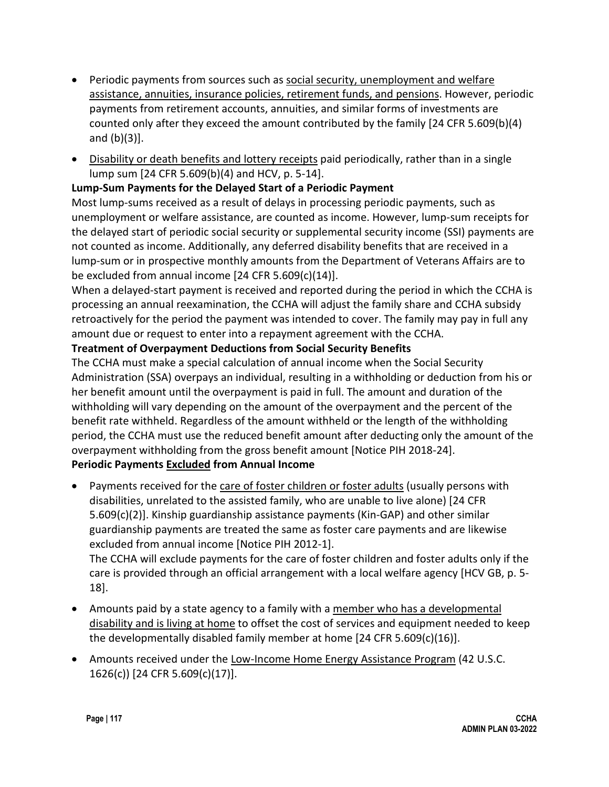- Periodic payments from sources such as social security, unemployment and welfare assistance, annuities, insurance policies, retirement funds, and pensions. However, periodic payments from retirement accounts, annuities, and similar forms of investments are counted only after they exceed the amount contributed by the family [24 CFR 5.609(b)(4) and (b)(3)].
- Disability or death benefits and lottery receipts paid periodically, rather than in a single lump sum [24 CFR 5.609(b)(4) and HCV, p. 5-14].

### **Lump-Sum Payments for the Delayed Start of a Periodic Payment**

Most lump-sums received as a result of delays in processing periodic payments, such as unemployment or welfare assistance, are counted as income. However, lump-sum receipts for the delayed start of periodic social security or supplemental security income (SSI) payments are not counted as income. Additionally, any deferred disability benefits that are received in a lump-sum or in prospective monthly amounts from the Department of Veterans Affairs are to be excluded from annual income [24 CFR 5.609(c)(14)].

When a delayed-start payment is received and reported during the period in which the CCHA is processing an annual reexamination, the CCHA will adjust the family share and CCHA subsidy retroactively for the period the payment was intended to cover. The family may pay in full any amount due or request to enter into a repayment agreement with the CCHA.

### **Treatment of Overpayment Deductions from Social Security Benefits**

The CCHA must make a special calculation of annual income when the Social Security Administration (SSA) overpays an individual, resulting in a withholding or deduction from his or her benefit amount until the overpayment is paid in full. The amount and duration of the withholding will vary depending on the amount of the overpayment and the percent of the benefit rate withheld. Regardless of the amount withheld or the length of the withholding period, the CCHA must use the reduced benefit amount after deducting only the amount of the overpayment withholding from the gross benefit amount [Notice PIH 2018-24].

## **Periodic Payments Excluded from Annual Income**

• Payments received for the care of foster children or foster adults (usually persons with disabilities, unrelated to the assisted family, who are unable to live alone) [24 CFR 5.609(c)(2)]. Kinship guardianship assistance payments (Kin-GAP) and other similar guardianship payments are treated the same as foster care payments and are likewise excluded from annual income [Notice PIH 2012-1]. The CCHA will exclude payments for the care of foster children and foster adults only if the

care is provided through an official arrangement with a local welfare agency [HCV GB, p. 5- 18].

- Amounts paid by a state agency to a family with a member who has a developmental disability and is living at home to offset the cost of services and equipment needed to keep the developmentally disabled family member at home [24 CFR 5.609(c)(16)].
- Amounts received under the Low-Income Home Energy Assistance Program (42 U.S.C. 1626(c)) [24 CFR 5.609(c)(17)].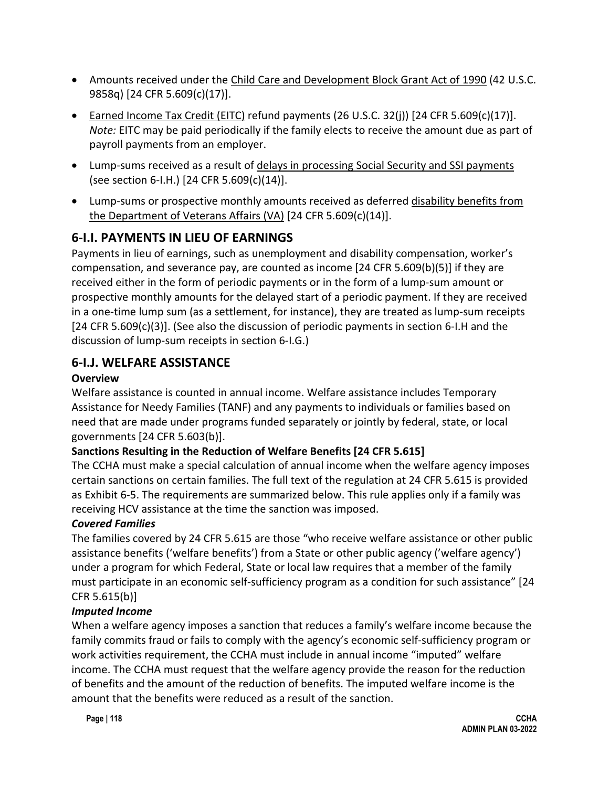- Amounts received under the Child Care and Development Block Grant Act of 1990 (42 U.S.C. 9858q) [24 CFR 5.609(c)(17)].
- Earned Income Tax Credit (EITC) refund payments (26 U.S.C. 32(j)) [24 CFR 5.609(c)(17)]. *Note:* EITC may be paid periodically if the family elects to receive the amount due as part of payroll payments from an employer.
- Lump-sums received as a result of delays in processing Social Security and SSI payments (see section 6-I.H.) [24 CFR 5.609(c)(14)].
- Lump-sums or prospective monthly amounts received as deferred disability benefits from the Department of Veterans Affairs (VA) [24 CFR 5.609(c)(14)].

# **6-I.I. PAYMENTS IN LIEU OF EARNINGS**

Payments in lieu of earnings, such as unemployment and disability compensation, worker's compensation, and severance pay, are counted as income [24 CFR 5.609(b)(5)] if they are received either in the form of periodic payments or in the form of a lump-sum amount or prospective monthly amounts for the delayed start of a periodic payment. If they are received in a one-time lump sum (as a settlement, for instance), they are treated as lump-sum receipts [24 CFR 5.609(c)(3)]. (See also the discussion of periodic payments in section 6-I.H and the discussion of lump-sum receipts in section 6-I.G.)

# **6-I.J. WELFARE ASSISTANCE**

### **Overview**

Welfare assistance is counted in annual income. Welfare assistance includes Temporary Assistance for Needy Families (TANF) and any payments to individuals or families based on need that are made under programs funded separately or jointly by federal, state, or local governments [24 CFR 5.603(b)].

## **Sanctions Resulting in the Reduction of Welfare Benefits [24 CFR 5.615]**

The CCHA must make a special calculation of annual income when the welfare agency imposes certain sanctions on certain families. The full text of the regulation at 24 CFR 5.615 is provided as Exhibit 6-5. The requirements are summarized below. This rule applies only if a family was receiving HCV assistance at the time the sanction was imposed.

## *Covered Families*

The families covered by 24 CFR 5.615 are those "who receive welfare assistance or other public assistance benefits ('welfare benefits') from a State or other public agency ('welfare agency') under a program for which Federal, State or local law requires that a member of the family must participate in an economic self-sufficiency program as a condition for such assistance" [24 CFR 5.615(b)]

## *Imputed Income*

When a welfare agency imposes a sanction that reduces a family's welfare income because the family commits fraud or fails to comply with the agency's economic self-sufficiency program or work activities requirement, the CCHA must include in annual income "imputed" welfare income. The CCHA must request that the welfare agency provide the reason for the reduction of benefits and the amount of the reduction of benefits. The imputed welfare income is the amount that the benefits were reduced as a result of the sanction.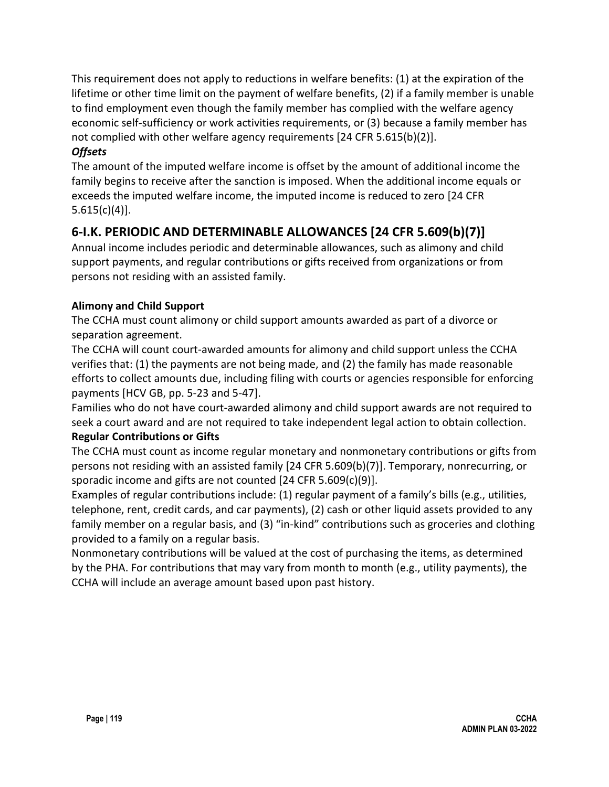This requirement does not apply to reductions in welfare benefits: (1) at the expiration of the lifetime or other time limit on the payment of welfare benefits, (2) if a family member is unable to find employment even though the family member has complied with the welfare agency economic self-sufficiency or work activities requirements, or (3) because a family member has not complied with other welfare agency requirements [24 CFR 5.615(b)(2)].

### *Offsets*

The amount of the imputed welfare income is offset by the amount of additional income the family begins to receive after the sanction is imposed. When the additional income equals or exceeds the imputed welfare income, the imputed income is reduced to zero [24 CFR  $5.615(c)(4)$ ].

# **6-I.K. PERIODIC AND DETERMINABLE ALLOWANCES [24 CFR 5.609(b)(7)]**

Annual income includes periodic and determinable allowances, such as alimony and child support payments, and regular contributions or gifts received from organizations or from persons not residing with an assisted family.

## **Alimony and Child Support**

The CCHA must count alimony or child support amounts awarded as part of a divorce or separation agreement.

The CCHA will count court-awarded amounts for alimony and child support unless the CCHA verifies that: (1) the payments are not being made, and (2) the family has made reasonable efforts to collect amounts due, including filing with courts or agencies responsible for enforcing payments [HCV GB, pp. 5-23 and 5-47].

Families who do not have court-awarded alimony and child support awards are not required to seek a court award and are not required to take independent legal action to obtain collection.

## **Regular Contributions or Gifts**

The CCHA must count as income regular monetary and nonmonetary contributions or gifts from persons not residing with an assisted family [24 CFR 5.609(b)(7)]. Temporary, nonrecurring, or sporadic income and gifts are not counted [24 CFR 5.609(c)(9)].

Examples of regular contributions include: (1) regular payment of a family's bills (e.g., utilities, telephone, rent, credit cards, and car payments), (2) cash or other liquid assets provided to any family member on a regular basis, and (3) "in-kind" contributions such as groceries and clothing provided to a family on a regular basis.

Nonmonetary contributions will be valued at the cost of purchasing the items, as determined by the PHA. For contributions that may vary from month to month (e.g., utility payments), the CCHA will include an average amount based upon past history.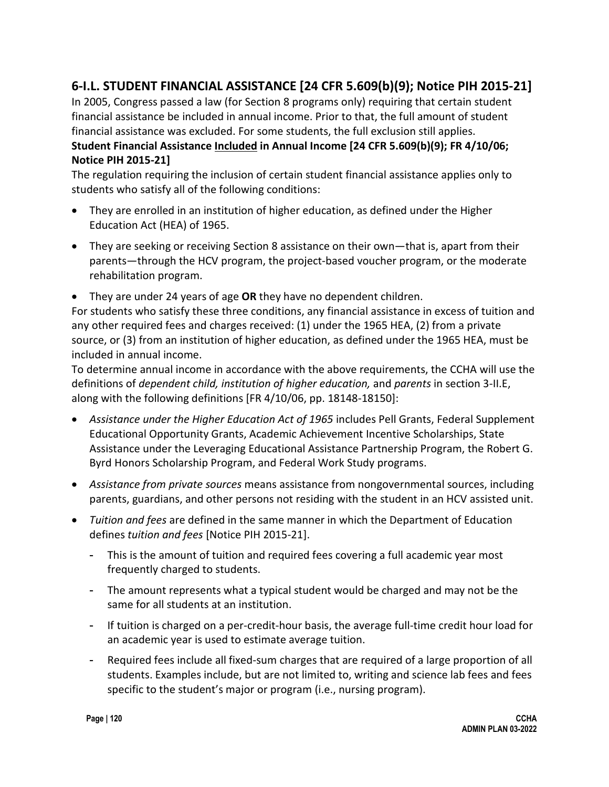# **6-I.L. STUDENT FINANCIAL ASSISTANCE [24 CFR 5.609(b)(9); Notice PIH 2015-21]**

In 2005, Congress passed a law (for Section 8 programs only) requiring that certain student financial assistance be included in annual income. Prior to that, the full amount of student financial assistance was excluded. For some students, the full exclusion still applies. **Student Financial Assistance Included in Annual Income [24 CFR 5.609(b)(9); FR 4/10/06; Notice PIH 2015-21]**

The regulation requiring the inclusion of certain student financial assistance applies only to students who satisfy all of the following conditions:

- They are enrolled in an institution of higher education, as defined under the Higher Education Act (HEA) of 1965.
- They are seeking or receiving Section 8 assistance on their own—that is, apart from their parents—through the HCV program, the project-based voucher program, or the moderate rehabilitation program.
- They are under 24 years of age **OR** they have no dependent children.

For students who satisfy these three conditions, any financial assistance in excess of tuition and any other required fees and charges received: (1) under the 1965 HEA, (2) from a private source, or (3) from an institution of higher education, as defined under the 1965 HEA, must be included in annual income.

To determine annual income in accordance with the above requirements, the CCHA will use the definitions of *dependent child, institution of higher education,* and *parents* in section 3-II.E, along with the following definitions [FR 4/10/06, pp. 18148-18150]:

- *Assistance under the Higher Education Act of 1965* includes Pell Grants, Federal Supplement Educational Opportunity Grants, Academic Achievement Incentive Scholarships, State Assistance under the Leveraging Educational Assistance Partnership Program, the Robert G. Byrd Honors Scholarship Program, and Federal Work Study programs.
- *Assistance from private sources* means assistance from nongovernmental sources, including parents, guardians, and other persons not residing with the student in an HCV assisted unit.
- *Tuition and fees* are defined in the same manner in which the Department of Education defines *tuition and fees* [Notice PIH 2015-21].
	- This is the amount of tuition and required fees covering a full academic year most frequently charged to students.
	- The amount represents what a typical student would be charged and may not be the same for all students at an institution.
	- If tuition is charged on a per-credit-hour basis, the average full-time credit hour load for an academic year is used to estimate average tuition.
	- Required fees include all fixed-sum charges that are required of a large proportion of all students. Examples include, but are not limited to, writing and science lab fees and fees specific to the student's major or program (i.e., nursing program).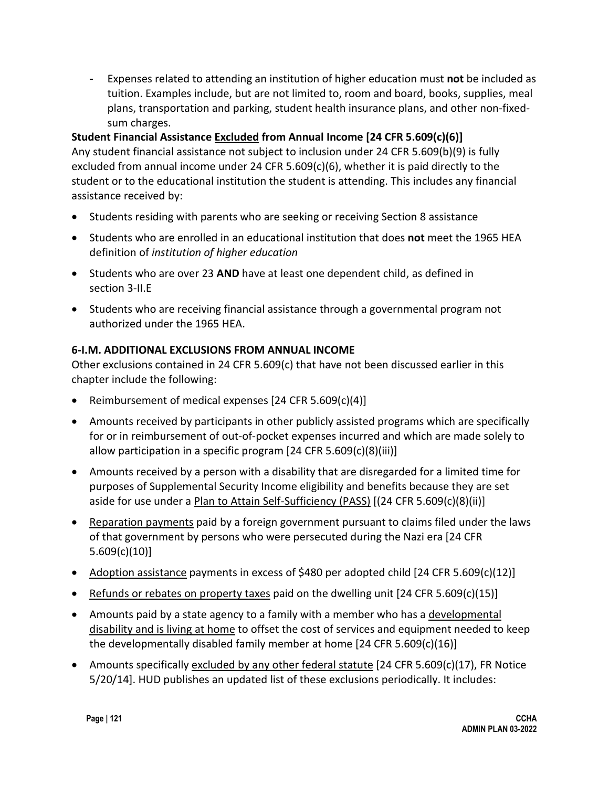- Expenses related to attending an institution of higher education must **not** be included as tuition. Examples include, but are not limited to, room and board, books, supplies, meal plans, transportation and parking, student health insurance plans, and other non-fixedsum charges.

### **Student Financial Assistance Excluded from Annual Income [24 CFR 5.609(c)(6)]**

Any student financial assistance not subject to inclusion under 24 CFR 5.609(b)(9) is fully excluded from annual income under 24 CFR 5.609(c)(6), whether it is paid directly to the student or to the educational institution the student is attending. This includes any financial assistance received by:

- Students residing with parents who are seeking or receiving Section 8 assistance
- Students who are enrolled in an educational institution that does **not** meet the 1965 HEA definition of *institution of higher education*
- Students who are over 23 **AND** have at least one dependent child, as defined in section 3-II.E
- Students who are receiving financial assistance through a governmental program not authorized under the 1965 HEA.

### **6-I.M. ADDITIONAL EXCLUSIONS FROM ANNUAL INCOME**

Other exclusions contained in 24 CFR 5.609(c) that have not been discussed earlier in this chapter include the following:

- Reimbursement of medical expenses [24 CFR 5.609(c)(4)]
- Amounts received by participants in other publicly assisted programs which are specifically for or in reimbursement of out-of-pocket expenses incurred and which are made solely to allow participation in a specific program [24 CFR 5.609(c)(8)(iii)]
- Amounts received by a person with a disability that are disregarded for a limited time for purposes of Supplemental Security Income eligibility and benefits because they are set aside for use under a Plan to Attain Self-Sufficiency (PASS) [(24 CFR 5.609(c)(8)(ii)]
- Reparation payments paid by a foreign government pursuant to claims filed under the laws of that government by persons who were persecuted during the Nazi era [24 CFR 5.609(c)(10)]
- Adoption assistance payments in excess of \$480 per adopted child [24 CFR 5.609(c)(12)]
- Refunds or rebates on property taxes paid on the dwelling unit [24 CFR 5.609(c)(15)]
- Amounts paid by a state agency to a family with a member who has a developmental disability and is living at home to offset the cost of services and equipment needed to keep the developmentally disabled family member at home [24 CFR 5.609(c)(16)]
- Amounts specifically excluded by any other federal statute  $[24$  CFR 5.609(c)(17), FR Notice 5/20/14]. HUD publishes an updated list of these exclusions periodically. It includes: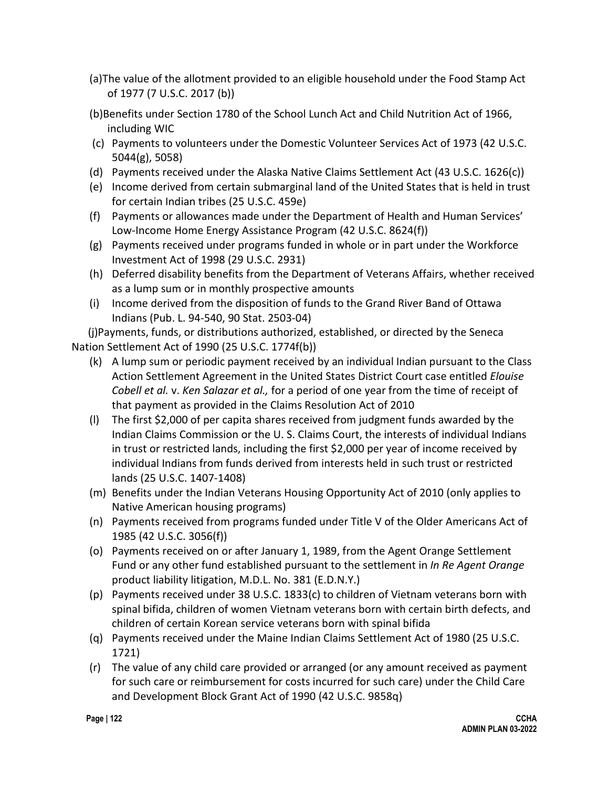- (a)The value of the allotment provided to an eligible household under the Food Stamp Act of 1977 (7 U.S.C. 2017 (b))
- (b)Benefits under Section 1780 of the School Lunch Act and Child Nutrition Act of 1966, including WIC
- (c) Payments to volunteers under the Domestic Volunteer Services Act of 1973 (42 U.S.C. 5044(g), 5058)
- (d) Payments received under the Alaska Native Claims Settlement Act (43 U.S.C. 1626(c))
- (e) Income derived from certain submarginal land of the United States that is held in trust for certain Indian tribes (25 U.S.C. 459e)
- (f) Payments or allowances made under the Department of Health and Human Services' Low-Income Home Energy Assistance Program (42 U.S.C. 8624(f))
- (g) Payments received under programs funded in whole or in part under the Workforce Investment Act of 1998 (29 U.S.C. 2931)
- (h) Deferred disability benefits from the Department of Veterans Affairs, whether received as a lump sum or in monthly prospective amounts
- (i) Income derived from the disposition of funds to the Grand River Band of Ottawa Indians (Pub. L. 94-540, 90 Stat. 2503-04)

 (j)Payments, funds, or distributions authorized, established, or directed by the Seneca Nation Settlement Act of 1990 (25 U.S.C. 1774f(b))

- (k) A lump sum or periodic payment received by an individual Indian pursuant to the Class Action Settlement Agreement in the United States District Court case entitled *Elouise Cobell et al.* v. *Ken Salazar et al.,* for a period of one year from the time of receipt of that payment as provided in the Claims Resolution Act of 2010
- (l) The first \$2,000 of per capita shares received from judgment funds awarded by the Indian Claims Commission or the U. S. Claims Court, the interests of individual Indians in trust or restricted lands, including the first \$2,000 per year of income received by individual Indians from funds derived from interests held in such trust or restricted lands (25 U.S.C. 1407-1408)
- (m) Benefits under the Indian Veterans Housing Opportunity Act of 2010 (only applies to Native American housing programs)
- (n) Payments received from programs funded under Title V of the Older Americans Act of 1985 (42 U.S.C. 3056(f))
- (o) Payments received on or after January 1, 1989, from the Agent Orange Settlement Fund or any other fund established pursuant to the settlement in *In Re Agent Orange* product liability litigation, M.D.L. No. 381 (E.D.N.Y.)
- (p) Payments received under 38 U.S.C. 1833(c) to children of Vietnam veterans born with spinal bifida, children of women Vietnam veterans born with certain birth defects, and children of certain Korean service veterans born with spinal bifida
- (q) Payments received under the Maine Indian Claims Settlement Act of 1980 (25 U.S.C. 1721)
- (r) The value of any child care provided or arranged (or any amount received as payment for such care or reimbursement for costs incurred for such care) under the Child Care and Development Block Grant Act of 1990 (42 U.S.C. 9858q)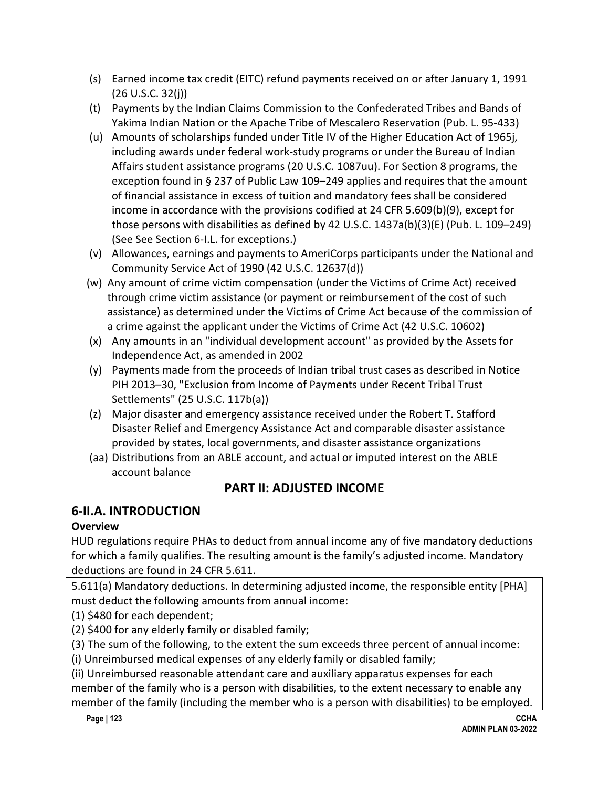- (s) Earned income tax credit (EITC) refund payments received on or after January 1, 1991 (26 U.S.C. 32(j))
- (t) Payments by the Indian Claims Commission to the Confederated Tribes and Bands of Yakima Indian Nation or the Apache Tribe of Mescalero Reservation (Pub. L. 95-433)
- (u) Amounts of scholarships funded under Title IV of the Higher Education Act of 1965j, including awards under federal work-study programs or under the Bureau of Indian Affairs student assistance programs (20 U.S.C. 1087uu). For Section 8 programs, the exception found in § 237 of Public Law 109–249 applies and requires that the amount of financial assistance in excess of tuition and mandatory fees shall be considered income in accordance with the provisions codified at 24 CFR 5.609(b)(9), except for those persons with disabilities as defined by 42 U.S.C. 1437a(b)(3)(E) (Pub. L. 109–249) (See See Section 6-I.L. for exceptions.)
- (v) Allowances, earnings and payments to AmeriCorps participants under the National and Community Service Act of 1990 (42 U.S.C. 12637(d))
- (w) Any amount of crime victim compensation (under the Victims of Crime Act) received through crime victim assistance (or payment or reimbursement of the cost of such assistance) as determined under the Victims of Crime Act because of the commission of a crime against the applicant under the Victims of Crime Act (42 U.S.C. 10602)
- (x) Any amounts in an "individual development account" as provided by the Assets for Independence Act, as amended in 2002
- (y) Payments made from the proceeds of Indian tribal trust cases as described in Notice PIH 2013–30, "Exclusion from Income of Payments under Recent Tribal Trust Settlements" (25 U.S.C. 117b(a))
- (z) Major disaster and emergency assistance received under the Robert T. Stafford Disaster Relief and Emergency Assistance Act and comparable disaster assistance provided by states, local governments, and disaster assistance organizations
- (aa) Distributions from an ABLE account, and actual or imputed interest on the ABLE account balance

# **PART II: ADJUSTED INCOME**

# **6-II.A. INTRODUCTION**

# **Overview**

HUD regulations require PHAs to deduct from annual income any of five mandatory deductions for which a family qualifies. The resulting amount is the family's adjusted income. Mandatory deductions are found in 24 CFR 5.611.

5.611(a) Mandatory deductions. In determining adjusted income, the responsible entity [PHA] must deduct the following amounts from annual income:

(1) \$480 for each dependent;

(2) \$400 for any elderly family or disabled family;

(3) The sum of the following, to the extent the sum exceeds three percent of annual income:

(i) Unreimbursed medical expenses of any elderly family or disabled family;

(ii) Unreimbursed reasonable attendant care and auxiliary apparatus expenses for each member of the family who is a person with disabilities, to the extent necessary to enable any member of the family (including the member who is a person with disabilities) to be employed.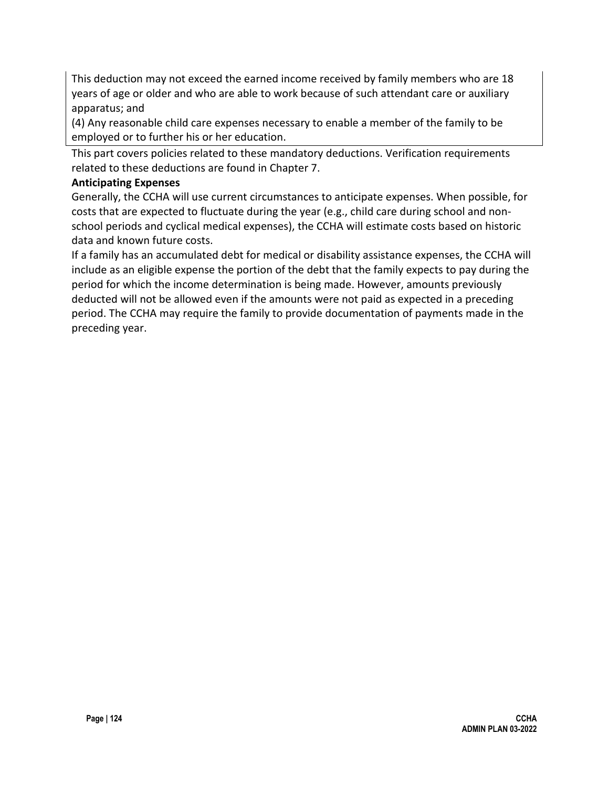This deduction may not exceed the earned income received by family members who are 18 years of age or older and who are able to work because of such attendant care or auxiliary apparatus; and

(4) Any reasonable child care expenses necessary to enable a member of the family to be employed or to further his or her education.

This part covers policies related to these mandatory deductions. Verification requirements related to these deductions are found in Chapter 7.

#### **Anticipating Expenses**

Generally, the CCHA will use current circumstances to anticipate expenses. When possible, for costs that are expected to fluctuate during the year (e.g., child care during school and nonschool periods and cyclical medical expenses), the CCHA will estimate costs based on historic data and known future costs.

If a family has an accumulated debt for medical or disability assistance expenses, the CCHA will include as an eligible expense the portion of the debt that the family expects to pay during the period for which the income determination is being made. However, amounts previously deducted will not be allowed even if the amounts were not paid as expected in a preceding period. The CCHA may require the family to provide documentation of payments made in the preceding year.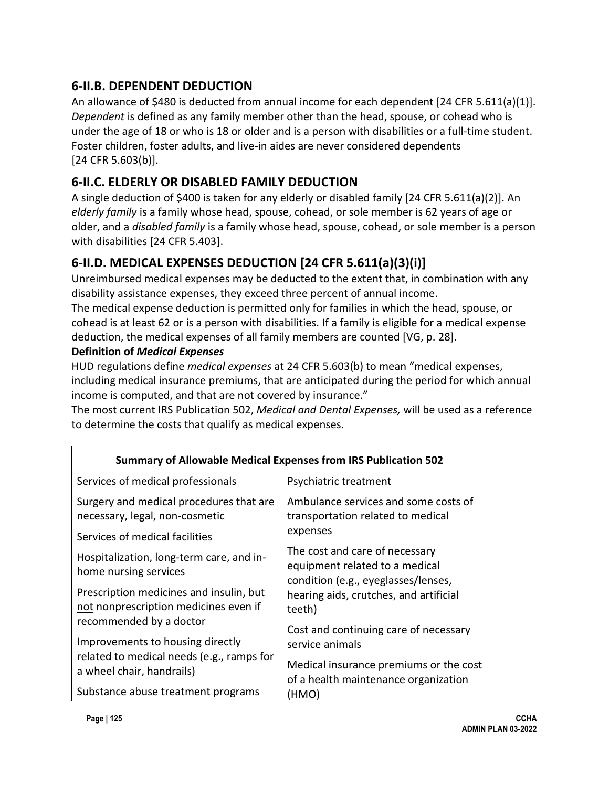# **6-II.B. DEPENDENT DEDUCTION**

An allowance of \$480 is deducted from annual income for each dependent [24 CFR 5.611(a)(1)]. *Dependent* is defined as any family member other than the head, spouse, or cohead who is under the age of 18 or who is 18 or older and is a person with disabilities or a full-time student. Foster children, foster adults, and live-in aides are never considered dependents [24 CFR 5.603(b)].

# **6-II.C. ELDERLY OR DISABLED FAMILY DEDUCTION**

A single deduction of \$400 is taken for any elderly or disabled family [24 CFR 5.611(a)(2)]. An *elderly family* is a family whose head, spouse, cohead, or sole member is 62 years of age or older, and a *disabled family* is a family whose head, spouse, cohead, or sole member is a person with disabilities [24 CFR 5.403].

# **6-II.D. MEDICAL EXPENSES DEDUCTION [24 CFR 5.611(a)(3)(i)]**

Unreimbursed medical expenses may be deducted to the extent that, in combination with any disability assistance expenses, they exceed three percent of annual income.

The medical expense deduction is permitted only for families in which the head, spouse, or cohead is at least 62 or is a person with disabilities. If a family is eligible for a medical expense deduction, the medical expenses of all family members are counted [VG, p. 28].

### **Definition of** *Medical Expenses*

HUD regulations define *medical expenses* at 24 CFR 5.603(b) to mean "medical expenses, including medical insurance premiums, that are anticipated during the period for which annual income is computed, and that are not covered by insurance."

The most current IRS Publication 502, *Medical and Dental Expenses,* will be used as a reference to determine the costs that qualify as medical expenses.

| Summary of Allowable Medical Expenses from IRS Publication 502                   |                                                                                                                                                                                                                                                                                                                                                                                                             |  |  |  |
|----------------------------------------------------------------------------------|-------------------------------------------------------------------------------------------------------------------------------------------------------------------------------------------------------------------------------------------------------------------------------------------------------------------------------------------------------------------------------------------------------------|--|--|--|
| Services of medical professionals                                                | Psychiatric treatment                                                                                                                                                                                                                                                                                                                                                                                       |  |  |  |
| Surgery and medical procedures that are<br>necessary, legal, non-cosmetic        | Ambulance services and some costs of<br>transportation related to medical<br>expenses<br>The cost and care of necessary<br>equipment related to a medical<br>condition (e.g., eyeglasses/lenses,<br>hearing aids, crutches, and artificial<br>teeth)<br>Cost and continuing care of necessary<br>service animals<br>Medical insurance premiums or the cost<br>of a health maintenance organization<br>(HMO) |  |  |  |
| Services of medical facilities                                                   |                                                                                                                                                                                                                                                                                                                                                                                                             |  |  |  |
| Hospitalization, long-term care, and in-<br>home nursing services                |                                                                                                                                                                                                                                                                                                                                                                                                             |  |  |  |
| Prescription medicines and insulin, but<br>not nonprescription medicines even if |                                                                                                                                                                                                                                                                                                                                                                                                             |  |  |  |
| recommended by a doctor<br>Improvements to housing directly                      |                                                                                                                                                                                                                                                                                                                                                                                                             |  |  |  |
| related to medical needs (e.g., ramps for<br>a wheel chair, handrails)           |                                                                                                                                                                                                                                                                                                                                                                                                             |  |  |  |
| Substance abuse treatment programs                                               |                                                                                                                                                                                                                                                                                                                                                                                                             |  |  |  |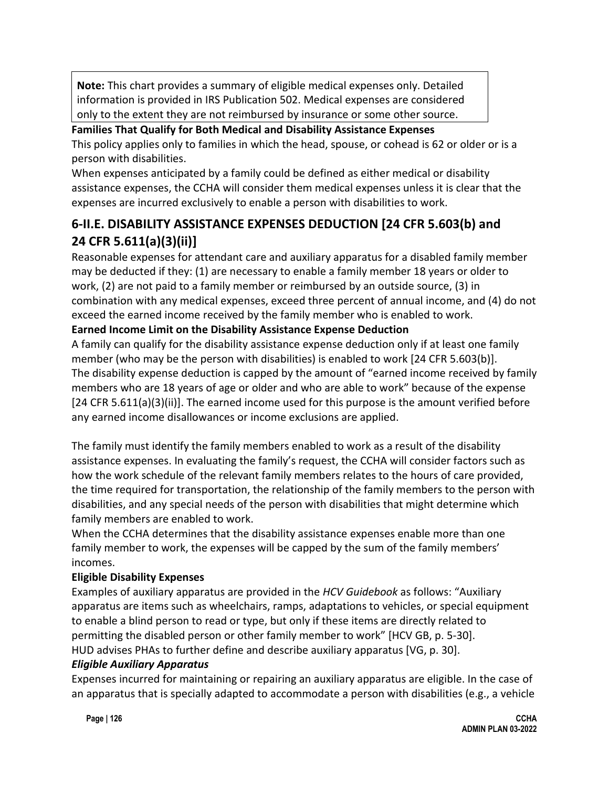**Note:** This chart provides a summary of eligible medical expenses only. Detailed information is provided in IRS Publication 502. Medical expenses are considered only to the extent they are not reimbursed by insurance or some other source.

### **Families That Qualify for Both Medical and Disability Assistance Expenses**

This policy applies only to families in which the head, spouse, or cohead is 62 or older or is a person with disabilities.

When expenses anticipated by a family could be defined as either medical or disability assistance expenses, the CCHA will consider them medical expenses unless it is clear that the expenses are incurred exclusively to enable a person with disabilities to work.

# **6-II.E. DISABILITY ASSISTANCE EXPENSES DEDUCTION [24 CFR 5.603(b) and 24 CFR 5.611(a)(3)(ii)]**

Reasonable expenses for attendant care and auxiliary apparatus for a disabled family member may be deducted if they: (1) are necessary to enable a family member 18 years or older to work, (2) are not paid to a family member or reimbursed by an outside source, (3) in combination with any medical expenses, exceed three percent of annual income, and (4) do not exceed the earned income received by the family member who is enabled to work.

### **Earned Income Limit on the Disability Assistance Expense Deduction**

A family can qualify for the disability assistance expense deduction only if at least one family member (who may be the person with disabilities) is enabled to work [24 CFR 5.603(b)]. The disability expense deduction is capped by the amount of "earned income received by family members who are 18 years of age or older and who are able to work" because of the expense [24 CFR 5.611(a)(3)(ii)]. The earned income used for this purpose is the amount verified before any earned income disallowances or income exclusions are applied.

The family must identify the family members enabled to work as a result of the disability assistance expenses. In evaluating the family's request, the CCHA will consider factors such as how the work schedule of the relevant family members relates to the hours of care provided, the time required for transportation, the relationship of the family members to the person with disabilities, and any special needs of the person with disabilities that might determine which family members are enabled to work.

When the CCHA determines that the disability assistance expenses enable more than one family member to work, the expenses will be capped by the sum of the family members' incomes.

### **Eligible Disability Expenses**

Examples of auxiliary apparatus are provided in the *HCV Guidebook* as follows: "Auxiliary apparatus are items such as wheelchairs, ramps, adaptations to vehicles, or special equipment to enable a blind person to read or type, but only if these items are directly related to permitting the disabled person or other family member to work" [HCV GB, p. 5-30]. HUD advises PHAs to further define and describe auxiliary apparatus [VG, p. 30].

### *Eligible Auxiliary Apparatus*

Expenses incurred for maintaining or repairing an auxiliary apparatus are eligible. In the case of an apparatus that is specially adapted to accommodate a person with disabilities (e.g., a vehicle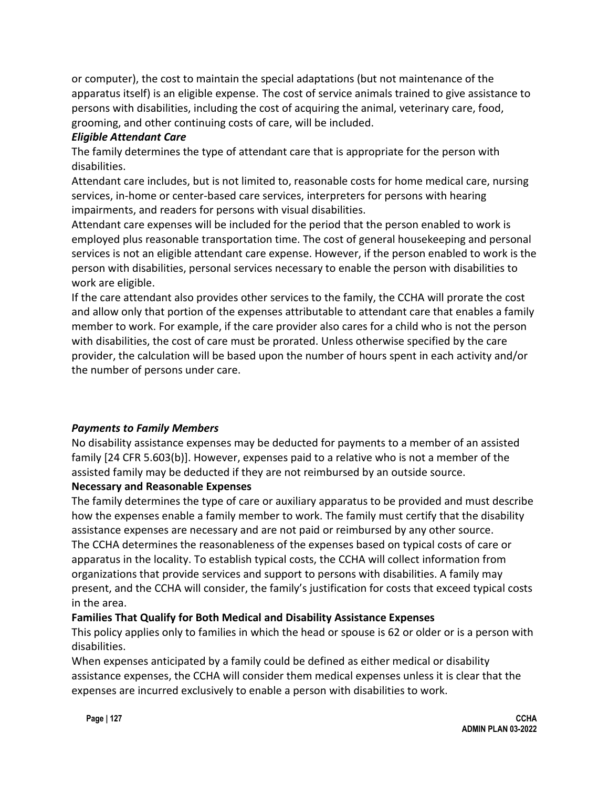or computer), the cost to maintain the special adaptations (but not maintenance of the apparatus itself) is an eligible expense. The cost of service animals trained to give assistance to persons with disabilities, including the cost of acquiring the animal, veterinary care, food, grooming, and other continuing costs of care, will be included.

### *Eligible Attendant Care*

The family determines the type of attendant care that is appropriate for the person with disabilities.

Attendant care includes, but is not limited to, reasonable costs for home medical care, nursing services, in-home or center-based care services, interpreters for persons with hearing impairments, and readers for persons with visual disabilities.

Attendant care expenses will be included for the period that the person enabled to work is employed plus reasonable transportation time. The cost of general housekeeping and personal services is not an eligible attendant care expense. However, if the person enabled to work is the person with disabilities, personal services necessary to enable the person with disabilities to work are eligible.

If the care attendant also provides other services to the family, the CCHA will prorate the cost and allow only that portion of the expenses attributable to attendant care that enables a family member to work. For example, if the care provider also cares for a child who is not the person with disabilities, the cost of care must be prorated. Unless otherwise specified by the care provider, the calculation will be based upon the number of hours spent in each activity and/or the number of persons under care.

## *Payments to Family Members*

No disability assistance expenses may be deducted for payments to a member of an assisted family [24 CFR 5.603(b)]. However, expenses paid to a relative who is not a member of the assisted family may be deducted if they are not reimbursed by an outside source.

### **Necessary and Reasonable Expenses**

The family determines the type of care or auxiliary apparatus to be provided and must describe how the expenses enable a family member to work. The family must certify that the disability assistance expenses are necessary and are not paid or reimbursed by any other source. The CCHA determines the reasonableness of the expenses based on typical costs of care or apparatus in the locality. To establish typical costs, the CCHA will collect information from organizations that provide services and support to persons with disabilities. A family may present, and the CCHA will consider, the family's justification for costs that exceed typical costs in the area.

## **Families That Qualify for Both Medical and Disability Assistance Expenses**

This policy applies only to families in which the head or spouse is 62 or older or is a person with disabilities.

When expenses anticipated by a family could be defined as either medical or disability assistance expenses, the CCHA will consider them medical expenses unless it is clear that the expenses are incurred exclusively to enable a person with disabilities to work.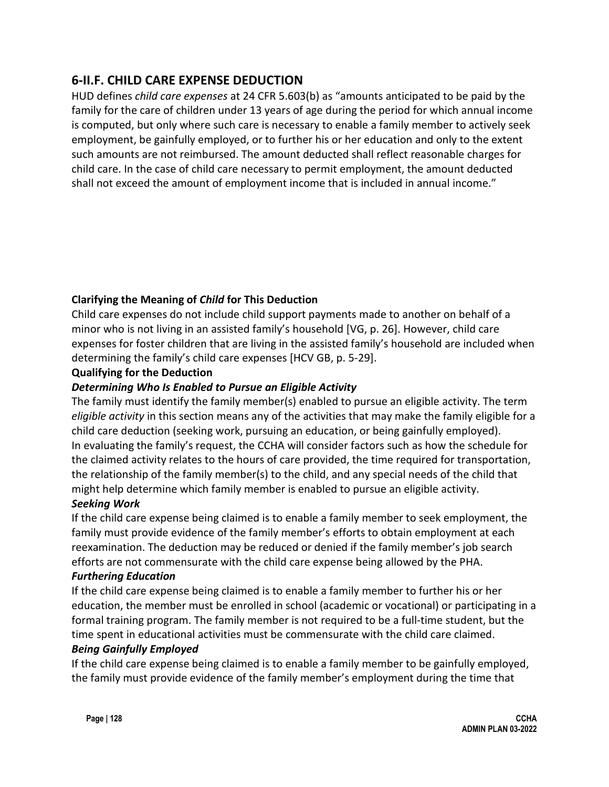# **6-II.F. CHILD CARE EXPENSE DEDUCTION**

HUD defines *child care expenses* at 24 CFR 5.603(b) as "amounts anticipated to be paid by the family for the care of children under 13 years of age during the period for which annual income is computed, but only where such care is necessary to enable a family member to actively seek employment, be gainfully employed, or to further his or her education and only to the extent such amounts are not reimbursed. The amount deducted shall reflect reasonable charges for child care. In the case of child care necessary to permit employment, the amount deducted shall not exceed the amount of employment income that is included in annual income."

## **Clarifying the Meaning of** *Child* **for This Deduction**

Child care expenses do not include child support payments made to another on behalf of a minor who is not living in an assisted family's household [VG, p. 26]. However, child care expenses for foster children that are living in the assisted family's household are included when determining the family's child care expenses [HCV GB, p. 5-29].

#### **Qualifying for the Deduction**

### *Determining Who Is Enabled to Pursue an Eligible Activity*

The family must identify the family member(s) enabled to pursue an eligible activity. The term *eligible activity* in this section means any of the activities that may make the family eligible for a child care deduction (seeking work, pursuing an education, or being gainfully employed). In evaluating the family's request, the CCHA will consider factors such as how the schedule for the claimed activity relates to the hours of care provided, the time required for transportation, the relationship of the family member(s) to the child, and any special needs of the child that might help determine which family member is enabled to pursue an eligible activity.

#### *Seeking Work*

If the child care expense being claimed is to enable a family member to seek employment, the family must provide evidence of the family member's efforts to obtain employment at each reexamination. The deduction may be reduced or denied if the family member's job search efforts are not commensurate with the child care expense being allowed by the PHA.

#### *Furthering Education*

If the child care expense being claimed is to enable a family member to further his or her education, the member must be enrolled in school (academic or vocational) or participating in a formal training program. The family member is not required to be a full-time student, but the time spent in educational activities must be commensurate with the child care claimed. *Being Gainfully Employed*

If the child care expense being claimed is to enable a family member to be gainfully employed, the family must provide evidence of the family member's employment during the time that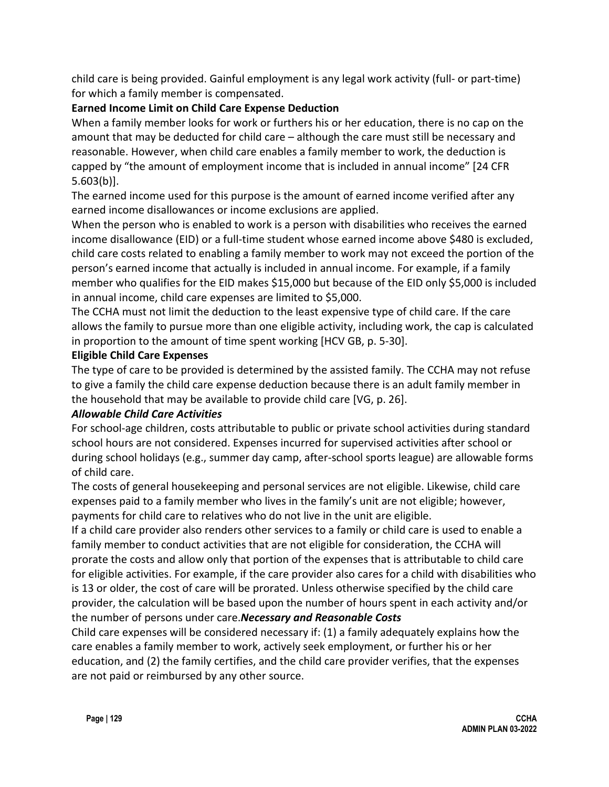child care is being provided. Gainful employment is any legal work activity (full- or part-time) for which a family member is compensated.

### **Earned Income Limit on Child Care Expense Deduction**

When a family member looks for work or furthers his or her education, there is no cap on the amount that may be deducted for child care – although the care must still be necessary and reasonable. However, when child care enables a family member to work, the deduction is capped by "the amount of employment income that is included in annual income" [24 CFR 5.603(b)].

The earned income used for this purpose is the amount of earned income verified after any earned income disallowances or income exclusions are applied.

When the person who is enabled to work is a person with disabilities who receives the earned income disallowance (EID) or a full-time student whose earned income above \$480 is excluded, child care costs related to enabling a family member to work may not exceed the portion of the person's earned income that actually is included in annual income. For example, if a family member who qualifies for the EID makes \$15,000 but because of the EID only \$5,000 is included in annual income, child care expenses are limited to \$5,000.

The CCHA must not limit the deduction to the least expensive type of child care. If the care allows the family to pursue more than one eligible activity, including work, the cap is calculated in proportion to the amount of time spent working [HCV GB, p. 5-30].

### **Eligible Child Care Expenses**

The type of care to be provided is determined by the assisted family. The CCHA may not refuse to give a family the child care expense deduction because there is an adult family member in the household that may be available to provide child care [VG, p. 26].

### *Allowable Child Care Activities*

For school-age children, costs attributable to public or private school activities during standard school hours are not considered. Expenses incurred for supervised activities after school or during school holidays (e.g., summer day camp, after-school sports league) are allowable forms of child care.

The costs of general housekeeping and personal services are not eligible. Likewise, child care expenses paid to a family member who lives in the family's unit are not eligible; however, payments for child care to relatives who do not live in the unit are eligible.

If a child care provider also renders other services to a family or child care is used to enable a family member to conduct activities that are not eligible for consideration, the CCHA will prorate the costs and allow only that portion of the expenses that is attributable to child care for eligible activities. For example, if the care provider also cares for a child with disabilities who is 13 or older, the cost of care will be prorated. Unless otherwise specified by the child care provider, the calculation will be based upon the number of hours spent in each activity and/or the number of persons under care.*Necessary and Reasonable Costs*

Child care expenses will be considered necessary if: (1) a family adequately explains how the care enables a family member to work, actively seek employment, or further his or her education, and (2) the family certifies, and the child care provider verifies, that the expenses are not paid or reimbursed by any other source.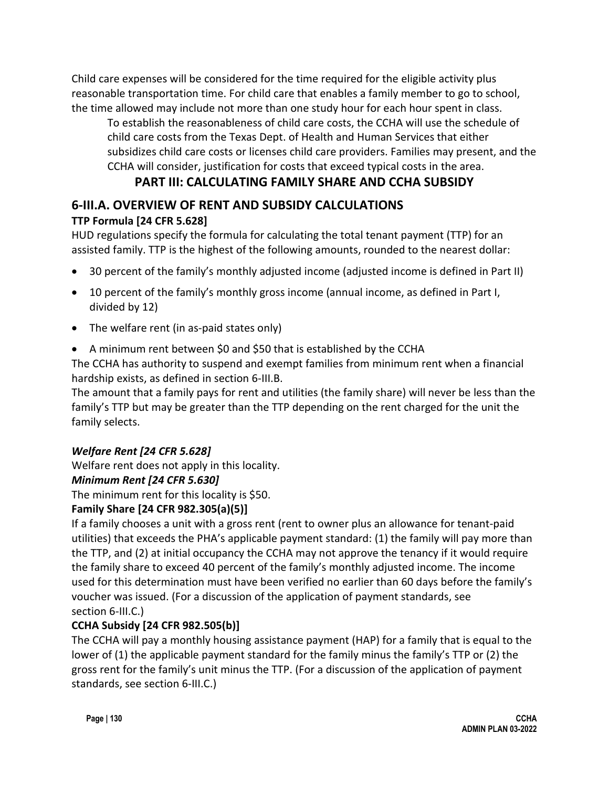Child care expenses will be considered for the time required for the eligible activity plus reasonable transportation time. For child care that enables a family member to go to school, the time allowed may include not more than one study hour for each hour spent in class.

To establish the reasonableness of child care costs, the CCHA will use the schedule of child care costs from the Texas Dept. of Health and Human Services that either subsidizes child care costs or licenses child care providers. Families may present, and the CCHA will consider, justification for costs that exceed typical costs in the area.

# **PART III: CALCULATING FAMILY SHARE AND CCHA SUBSIDY**

### **6-III.A. OVERVIEW OF RENT AND SUBSIDY CALCULATIONS TTP Formula [24 CFR 5.628]**

HUD regulations specify the formula for calculating the total tenant payment (TTP) for an assisted family. TTP is the highest of the following amounts, rounded to the nearest dollar:

- 30 percent of the family's monthly adjusted income (adjusted income is defined in Part II)
- 10 percent of the family's monthly gross income (annual income, as defined in Part I, divided by 12)
- The welfare rent (in as-paid states only)
- A minimum rent between \$0 and \$50 that is established by the CCHA

The CCHA has authority to suspend and exempt families from minimum rent when a financial hardship exists, as defined in section 6-III.B.

The amount that a family pays for rent and utilities (the family share) will never be less than the family's TTP but may be greater than the TTP depending on the rent charged for the unit the family selects.

# *Welfare Rent [24 CFR 5.628]*

Welfare rent does not apply in this locality.

# *Minimum Rent [24 CFR 5.630]*

The minimum rent for this locality is \$50.

# **Family Share [24 CFR 982.305(a)(5)]**

If a family chooses a unit with a gross rent (rent to owner plus an allowance for tenant-paid utilities) that exceeds the PHA's applicable payment standard: (1) the family will pay more than the TTP, and (2) at initial occupancy the CCHA may not approve the tenancy if it would require the family share to exceed 40 percent of the family's monthly adjusted income. The income used for this determination must have been verified no earlier than 60 days before the family's voucher was issued. (For a discussion of the application of payment standards, see section 6-III.C.)

# **CCHA Subsidy [24 CFR 982.505(b)]**

The CCHA will pay a monthly housing assistance payment (HAP) for a family that is equal to the lower of (1) the applicable payment standard for the family minus the family's TTP or (2) the gross rent for the family's unit minus the TTP. (For a discussion of the application of payment standards, see section 6-III.C.)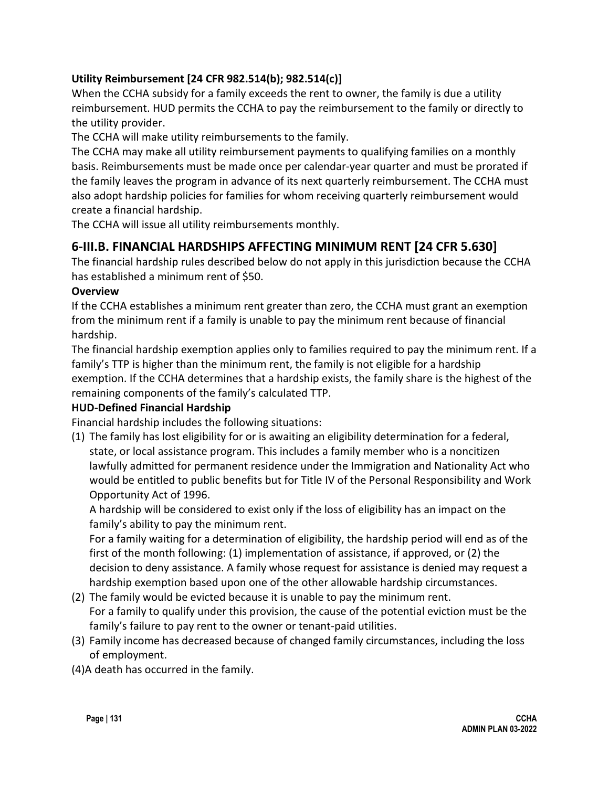### **Utility Reimbursement [24 CFR 982.514(b); 982.514(c)]**

When the CCHA subsidy for a family exceeds the rent to owner, the family is due a utility reimbursement. HUD permits the CCHA to pay the reimbursement to the family or directly to the utility provider.

The CCHA will make utility reimbursements to the family.

The CCHA may make all utility reimbursement payments to qualifying families on a monthly basis. Reimbursements must be made once per calendar-year quarter and must be prorated if the family leaves the program in advance of its next quarterly reimbursement. The CCHA must also adopt hardship policies for families for whom receiving quarterly reimbursement would create a financial hardship.

The CCHA will issue all utility reimbursements monthly.

## **6-III.B. FINANCIAL HARDSHIPS AFFECTING MINIMUM RENT [24 CFR 5.630]**

The financial hardship rules described below do not apply in this jurisdiction because the CCHA has established a minimum rent of \$50.

#### **Overview**

If the CCHA establishes a minimum rent greater than zero, the CCHA must grant an exemption from the minimum rent if a family is unable to pay the minimum rent because of financial hardship.

The financial hardship exemption applies only to families required to pay the minimum rent. If a family's TTP is higher than the minimum rent, the family is not eligible for a hardship exemption. If the CCHA determines that a hardship exists, the family share is the highest of the remaining components of the family's calculated TTP.

### **HUD-Defined Financial Hardship**

Financial hardship includes the following situations:

(1) The family has lost eligibility for or is awaiting an eligibility determination for a federal, state, or local assistance program. This includes a family member who is a noncitizen lawfully admitted for permanent residence under the Immigration and Nationality Act who would be entitled to public benefits but for Title IV of the Personal Responsibility and Work Opportunity Act of 1996.

A hardship will be considered to exist only if the loss of eligibility has an impact on the family's ability to pay the minimum rent.

For a family waiting for a determination of eligibility, the hardship period will end as of the first of the month following: (1) implementation of assistance, if approved, or (2) the decision to deny assistance. A family whose request for assistance is denied may request a hardship exemption based upon one of the other allowable hardship circumstances.

- (2) The family would be evicted because it is unable to pay the minimum rent. For a family to qualify under this provision, the cause of the potential eviction must be the family's failure to pay rent to the owner or tenant-paid utilities.
- (3) Family income has decreased because of changed family circumstances, including the loss of employment.
- (4)A death has occurred in the family.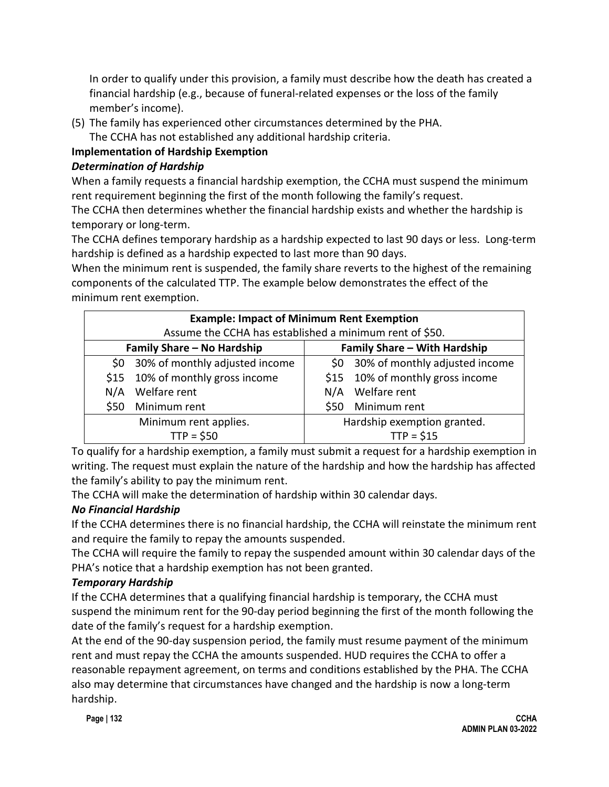In order to qualify under this provision, a family must describe how the death has created a financial hardship (e.g., because of funeral-related expenses or the loss of the family member's income).

(5) The family has experienced other circumstances determined by the PHA.

The CCHA has not established any additional hardship criteria.

# **Implementation of Hardship Exemption**

## *Determination of Hardship*

When a family requests a financial hardship exemption, the CCHA must suspend the minimum rent requirement beginning the first of the month following the family's request.

The CCHA then determines whether the financial hardship exists and whether the hardship is temporary or long-term.

The CCHA defines temporary hardship as a hardship expected to last 90 days or less. Long-term hardship is defined as a hardship expected to last more than 90 days.

When the minimum rent is suspended, the family share reverts to the highest of the remaining components of the calculated TTP. The example below demonstrates the effect of the minimum rent exemption.

| <b>Example: Impact of Minimum Rent Exemption</b>        |                                    |                              |                                    |  |
|---------------------------------------------------------|------------------------------------|------------------------------|------------------------------------|--|
| Assume the CCHA has established a minimum rent of \$50. |                                    |                              |                                    |  |
| Family Share - No Hardship                              |                                    | Family Share - With Hardship |                                    |  |
|                                                         | \$0 30% of monthly adjusted income |                              | \$0 30% of monthly adjusted income |  |
| \$15                                                    | 10% of monthly gross income        |                              | \$15 10% of monthly gross income   |  |
| N/A                                                     | Welfare rent                       |                              | N/A Welfare rent                   |  |
| \$50                                                    | Minimum rent                       | \$50                         | Minimum rent                       |  |
| Minimum rent applies.                                   |                                    | Hardship exemption granted.  |                                    |  |
| $TTP = $50$                                             |                                    | $TTP = $15$                  |                                    |  |

To qualify for a hardship exemption, a family must submit a request for a hardship exemption in writing. The request must explain the nature of the hardship and how the hardship has affected the family's ability to pay the minimum rent.

The CCHA will make the determination of hardship within 30 calendar days.

# *No Financial Hardship*

If the CCHA determines there is no financial hardship, the CCHA will reinstate the minimum rent and require the family to repay the amounts suspended.

The CCHA will require the family to repay the suspended amount within 30 calendar days of the PHA's notice that a hardship exemption has not been granted.

# *Temporary Hardship*

If the CCHA determines that a qualifying financial hardship is temporary, the CCHA must suspend the minimum rent for the 90-day period beginning the first of the month following the date of the family's request for a hardship exemption.

At the end of the 90-day suspension period, the family must resume payment of the minimum rent and must repay the CCHA the amounts suspended. HUD requires the CCHA to offer a reasonable repayment agreement, on terms and conditions established by the PHA. The CCHA also may determine that circumstances have changed and the hardship is now a long-term hardship.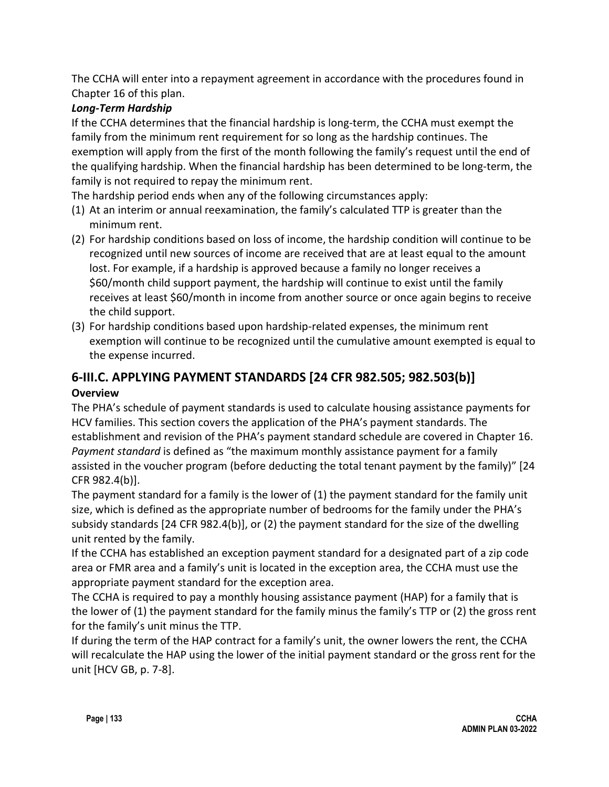The CCHA will enter into a repayment agreement in accordance with the procedures found in Chapter 16 of this plan.

## *Long-Term Hardship*

If the CCHA determines that the financial hardship is long-term, the CCHA must exempt the family from the minimum rent requirement for so long as the hardship continues. The exemption will apply from the first of the month following the family's request until the end of the qualifying hardship. When the financial hardship has been determined to be long-term, the family is not required to repay the minimum rent.

The hardship period ends when any of the following circumstances apply:

- (1) At an interim or annual reexamination, the family's calculated TTP is greater than the minimum rent.
- (2) For hardship conditions based on loss of income, the hardship condition will continue to be recognized until new sources of income are received that are at least equal to the amount lost. For example, if a hardship is approved because a family no longer receives a \$60/month child support payment, the hardship will continue to exist until the family receives at least \$60/month in income from another source or once again begins to receive the child support.
- (3) For hardship conditions based upon hardship-related expenses, the minimum rent exemption will continue to be recognized until the cumulative amount exempted is equal to the expense incurred.

# **6-III.C. APPLYING PAYMENT STANDARDS [24 CFR 982.505; 982.503(b)]**

## **Overview**

The PHA's schedule of payment standards is used to calculate housing assistance payments for HCV families. This section covers the application of the PHA's payment standards. The establishment and revision of the PHA's payment standard schedule are covered in Chapter 16. *Payment standard* is defined as "the maximum monthly assistance payment for a family assisted in the voucher program (before deducting the total tenant payment by the family)" [24 CFR 982.4(b)].

The payment standard for a family is the lower of (1) the payment standard for the family unit size, which is defined as the appropriate number of bedrooms for the family under the PHA's subsidy standards [24 CFR 982.4(b)], or (2) the payment standard for the size of the dwelling unit rented by the family.

If the CCHA has established an exception payment standard for a designated part of a zip code area or FMR area and a family's unit is located in the exception area, the CCHA must use the appropriate payment standard for the exception area.

The CCHA is required to pay a monthly housing assistance payment (HAP) for a family that is the lower of (1) the payment standard for the family minus the family's TTP or (2) the gross rent for the family's unit minus the TTP.

If during the term of the HAP contract for a family's unit, the owner lowers the rent, the CCHA will recalculate the HAP using the lower of the initial payment standard or the gross rent for the unit [HCV GB, p. 7-8].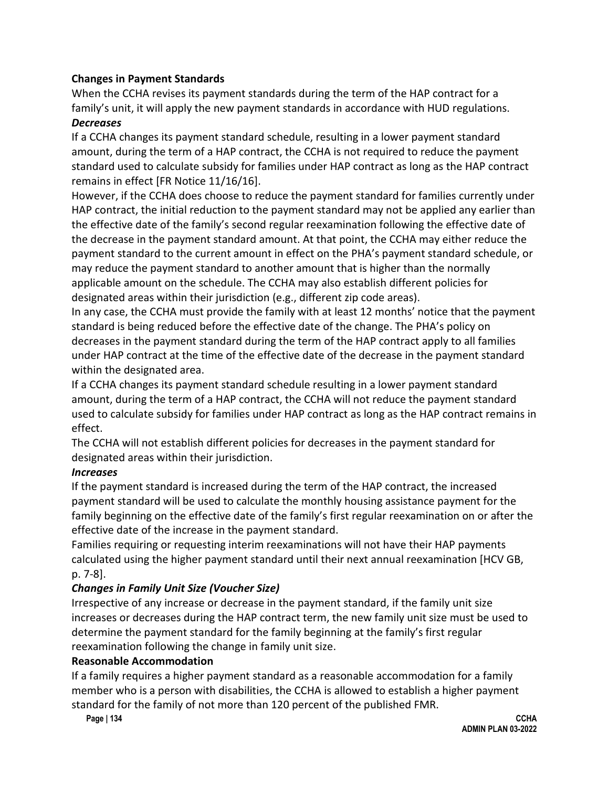### **Changes in Payment Standards**

When the CCHA revises its payment standards during the term of the HAP contract for a family's unit, it will apply the new payment standards in accordance with HUD regulations.

#### *Decreases*

If a CCHA changes its payment standard schedule, resulting in a lower payment standard amount, during the term of a HAP contract, the CCHA is not required to reduce the payment standard used to calculate subsidy for families under HAP contract as long as the HAP contract remains in effect [FR Notice 11/16/16].

However, if the CCHA does choose to reduce the payment standard for families currently under HAP contract, the initial reduction to the payment standard may not be applied any earlier than the effective date of the family's second regular reexamination following the effective date of the decrease in the payment standard amount. At that point, the CCHA may either reduce the payment standard to the current amount in effect on the PHA's payment standard schedule, or may reduce the payment standard to another amount that is higher than the normally applicable amount on the schedule. The CCHA may also establish different policies for designated areas within their jurisdiction (e.g., different zip code areas).

In any case, the CCHA must provide the family with at least 12 months' notice that the payment standard is being reduced before the effective date of the change. The PHA's policy on decreases in the payment standard during the term of the HAP contract apply to all families under HAP contract at the time of the effective date of the decrease in the payment standard within the designated area.

If a CCHA changes its payment standard schedule resulting in a lower payment standard amount, during the term of a HAP contract, the CCHA will not reduce the payment standard used to calculate subsidy for families under HAP contract as long as the HAP contract remains in effect.

The CCHA will not establish different policies for decreases in the payment standard for designated areas within their jurisdiction.

#### *Increases*

If the payment standard is increased during the term of the HAP contract, the increased payment standard will be used to calculate the monthly housing assistance payment for the family beginning on the effective date of the family's first regular reexamination on or after the effective date of the increase in the payment standard.

Families requiring or requesting interim reexaminations will not have their HAP payments calculated using the higher payment standard until their next annual reexamination [HCV GB, p. 7-8].

### *Changes in Family Unit Size (Voucher Size)*

Irrespective of any increase or decrease in the payment standard, if the family unit size increases or decreases during the HAP contract term, the new family unit size must be used to determine the payment standard for the family beginning at the family's first regular reexamination following the change in family unit size.

#### **Reasonable Accommodation**

If a family requires a higher payment standard as a reasonable accommodation for a family member who is a person with disabilities, the CCHA is allowed to establish a higher payment standard for the family of not more than 120 percent of the published FMR.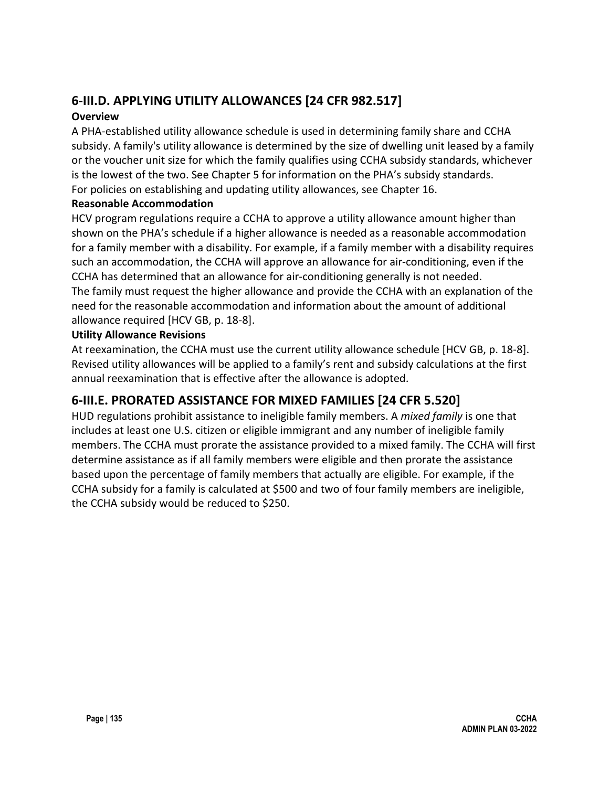# **6-III.D. APPLYING UTILITY ALLOWANCES [24 CFR 982.517]**

### **Overview**

A PHA-established utility allowance schedule is used in determining family share and CCHA subsidy. A family's utility allowance is determined by the size of dwelling unit leased by a family or the voucher unit size for which the family qualifies using CCHA subsidy standards, whichever is the lowest of the two. See Chapter 5 for information on the PHA's subsidy standards. For policies on establishing and updating utility allowances, see Chapter 16.

#### **Reasonable Accommodation**

HCV program regulations require a CCHA to approve a utility allowance amount higher than shown on the PHA's schedule if a higher allowance is needed as a reasonable accommodation for a family member with a disability. For example, if a family member with a disability requires such an accommodation, the CCHA will approve an allowance for air-conditioning, even if the CCHA has determined that an allowance for air-conditioning generally is not needed. The family must request the higher allowance and provide the CCHA with an explanation of the need for the reasonable accommodation and information about the amount of additional allowance required [HCV GB, p. 18-8].

#### **Utility Allowance Revisions**

At reexamination, the CCHA must use the current utility allowance schedule [HCV GB, p. 18-8]. Revised utility allowances will be applied to a family's rent and subsidy calculations at the first annual reexamination that is effective after the allowance is adopted.

# **6-III.E. PRORATED ASSISTANCE FOR MIXED FAMILIES [24 CFR 5.520]**

HUD regulations prohibit assistance to ineligible family members. A *mixed family* is one that includes at least one U.S. citizen or eligible immigrant and any number of ineligible family members. The CCHA must prorate the assistance provided to a mixed family. The CCHA will first determine assistance as if all family members were eligible and then prorate the assistance based upon the percentage of family members that actually are eligible. For example, if the CCHA subsidy for a family is calculated at \$500 and two of four family members are ineligible, the CCHA subsidy would be reduced to \$250.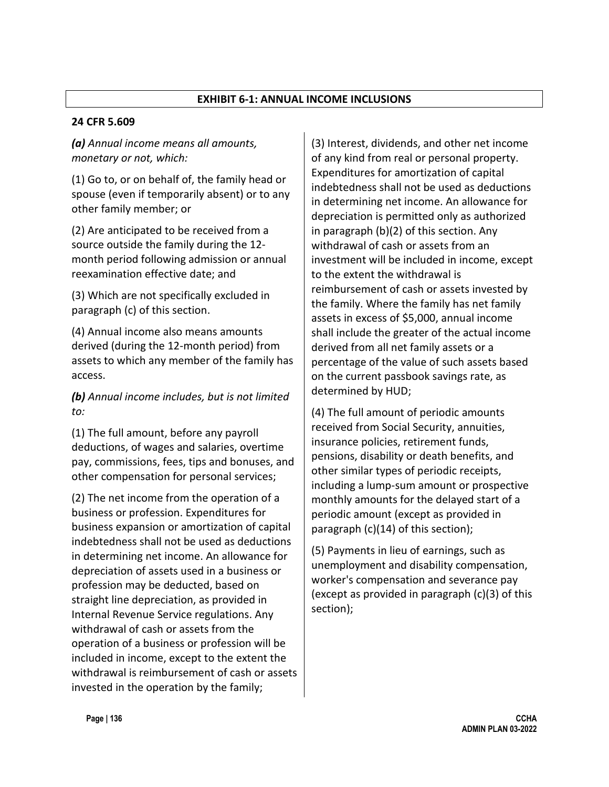#### **EXHIBIT 6-1: ANNUAL INCOME INCLUSIONS**

#### **24 CFR 5.609**

*(a) Annual income means all amounts, monetary or not, which:*

(1) Go to, or on behalf of, the family head or spouse (even if temporarily absent) or to any other family member; or

(2) Are anticipated to be received from a source outside the family during the 12 month period following admission or annual reexamination effective date; and

(3) Which are not specifically excluded in paragraph (c) of this section.

(4) Annual income also means amounts derived (during the 12-month period) from assets to which any member of the family has access.

*(b) Annual income includes, but is not limited to:*

(1) The full amount, before any payroll deductions, of wages and salaries, overtime pay, commissions, fees, tips and bonuses, and other compensation for personal services;

(2) The net income from the operation of a business or profession. Expenditures for business expansion or amortization of capital indebtedness shall not be used as deductions in determining net income. An allowance for depreciation of assets used in a business or profession may be deducted, based on straight line depreciation, as provided in Internal Revenue Service regulations. Any withdrawal of cash or assets from the operation of a business or profession will be included in income, except to the extent the withdrawal is reimbursement of cash or assets invested in the operation by the family;

(3) Interest, dividends, and other net income of any kind from real or personal property. Expenditures for amortization of capital indebtedness shall not be used as deductions in determining net income. An allowance for depreciation is permitted only as authorized in paragraph (b)(2) of this section. Any withdrawal of cash or assets from an investment will be included in income, except to the extent the withdrawal is reimbursement of cash or assets invested by the family. Where the family has net family assets in excess of \$5,000, annual income shall include the greater of the actual income derived from all net family assets or a percentage of the value of such assets based on the current passbook savings rate, as determined by HUD;

(4) The full amount of periodic amounts received from Social Security, annuities, insurance policies, retirement funds, pensions, disability or death benefits, and other similar types of periodic receipts, including a lump-sum amount or prospective monthly amounts for the delayed start of a periodic amount (except as provided in paragraph (c)(14) of this section);

(5) Payments in lieu of earnings, such as unemployment and disability compensation, worker's compensation and severance pay (except as provided in paragraph (c)(3) of this section);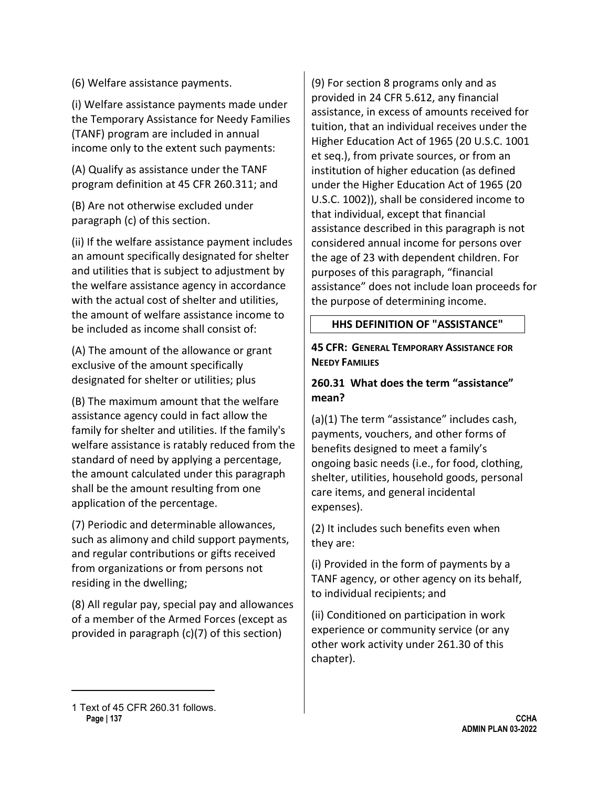(6) Welfare assistance payments.

(i) Welfare assistance payments made under the Temporary Assistance for Needy Families (TANF) program are included in annual income only to the extent such payments:

(A) Qualify as assistance under the TANF program definition at 45 CFR 260.31[1](#page-35-0); and

(B) Are not otherwise excluded under paragraph (c) of this section.

(ii) If the welfare assistance payment includes an amount specifically designated for shelter and utilities that is subject to adjustment by the welfare assistance agency in accordance with the actual cost of shelter and utilities, the amount of welfare assistance income to be included as income shall consist of:

(A) The amount of the allowance or grant exclusive of the amount specifically designated for shelter or utilities; plus

(B) The maximum amount that the welfare assistance agency could in fact allow the family for shelter and utilities. If the family's welfare assistance is ratably reduced from the standard of need by applying a percentage, the amount calculated under this paragraph shall be the amount resulting from one application of the percentage.

(7) Periodic and determinable allowances, such as alimony and child support payments, and regular contributions or gifts received from organizations or from persons not residing in the dwelling;

(8) All regular pay, special pay and allowances of a member of the Armed Forces (except as provided in paragraph (c)(7) of this section)

(9) For section 8 programs only and as provided in 24 CFR 5.612, any financial assistance, in excess of amounts received for tuition, that an individual receives under the Higher Education Act of 1965 (20 U.S.C. 1001 et seq.), from private sources, or from an institution of higher education (as defined under the Higher Education Act of 1965 (20 U.S.C. 1002)), shall be considered income to that individual, except that financial assistance described in this paragraph is not considered annual income for persons over the age of 23 with dependent children. For purposes of this paragraph, "financial assistance" does not include loan proceeds for the purpose of determining income.

### **HHS DEFINITION OF "ASSISTANCE"**

#### **45 CFR: GENERAL TEMPORARY ASSISTANCE FOR NEEDY FAMILIES**

### **260.31 What does the term "assistance" mean?**

(a)(1) The term "assistance" includes cash, payments, vouchers, and other forms of benefits designed to meet a family's ongoing basic needs (i.e., for food, clothing, shelter, utilities, household goods, personal care items, and general incidental expenses).

(2) It includes such benefits even when they are:

(i) Provided in the form of payments by a TANF agency, or other agency on its behalf, to individual recipients; and

(ii) Conditioned on participation in work experience or community service (or any other work activity under 261.30 of this chapter).

<span id="page-35-0"></span>**Page | 137 CCHA**  1 Text of 45 CFR 260.31 follows.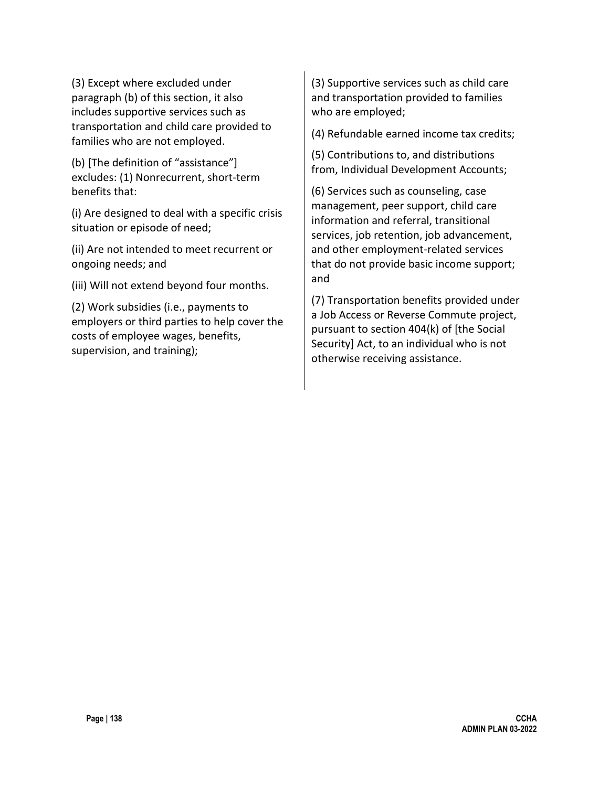(3) Except where excluded under paragraph (b) of this section, it also includes supportive services such as transportation and child care provided to families who are not employed.

(b) [The definition of "assistance"] excludes: (1) Nonrecurrent, short-term benefits that:

(i) Are designed to deal with a specific crisis situation or episode of need;

(ii) Are not intended to meet recurrent or ongoing needs; and

(iii) Will not extend beyond four months.

(2) Work subsidies (i.e., payments to employers or third parties to help cover the costs of employee wages, benefits, supervision, and training);

(3) Supportive services such as child care and transportation provided to families who are employed;

(4) Refundable earned income tax credits;

(5) Contributions to, and distributions from, Individual Development Accounts;

(6) Services such as counseling, case management, peer support, child care information and referral, transitional services, job retention, job advancement, and other employment-related services that do not provide basic income support; and

(7) Transportation benefits provided under a Job Access or Reverse Commute project, pursuant to section 404(k) of [the Social Security] Act, to an individual who is not otherwise receiving assistance.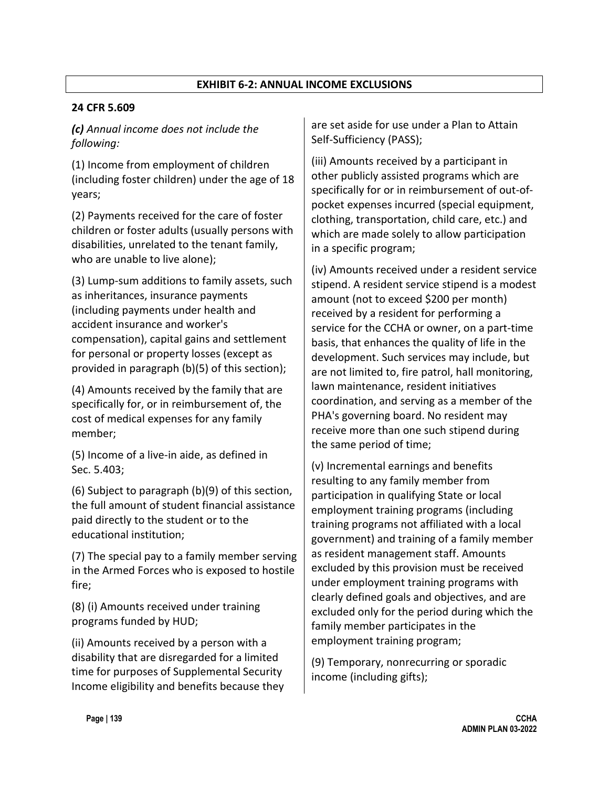#### **EXHIBIT 6-2: ANNUAL INCOME EXCLUSIONS**

#### **24 CFR 5.609**

*(c) Annual income does not include the following:*

(1) Income from employment of children (including foster children) under the age of 18 years;

(2) Payments received for the care of foster children or foster adults (usually persons with disabilities, unrelated to the tenant family, who are unable to live alone);

(3) Lump-sum additions to family assets, such as inheritances, insurance payments (including payments under health and accident insurance and worker's compensation), capital gains and settlement for personal or property losses (except as provided in paragraph (b)(5) of this section);

(4) Amounts received by the family that are specifically for, or in reimbursement of, the cost of medical expenses for any family member;

(5) Income of a live-in aide, as defined in Sec. 5.403;

(6) Subject to paragraph (b)(9) of this section, the full amount of student financial assistance paid directly to the student or to the educational institution;

(7) The special pay to a family member serving in the Armed Forces who is exposed to hostile fire;

(8) (i) Amounts received under training programs funded by HUD;

(ii) Amounts received by a person with a disability that are disregarded for a limited time for purposes of Supplemental Security Income eligibility and benefits because they are set aside for use under a Plan to Attain Self-Sufficiency (PASS);

(iii) Amounts received by a participant in other publicly assisted programs which are specifically for or in reimbursement of out-ofpocket expenses incurred (special equipment, clothing, transportation, child care, etc.) and which are made solely to allow participation in a specific program;

(iv) Amounts received under a resident service stipend. A resident service stipend is a modest amount (not to exceed \$200 per month) received by a resident for performing a service for the CCHA or owner, on a part-time basis, that enhances the quality of life in the development. Such services may include, but are not limited to, fire patrol, hall monitoring, lawn maintenance, resident initiatives coordination, and serving as a member of the PHA's governing board. No resident may receive more than one such stipend during the same period of time;

(v) Incremental earnings and benefits resulting to any family member from participation in qualifying State or local employment training programs (including training programs not affiliated with a local government) and training of a family member as resident management staff. Amounts excluded by this provision must be received under employment training programs with clearly defined goals and objectives, and are excluded only for the period during which the family member participates in the employment training program;

(9) Temporary, nonrecurring or sporadic income (including gifts);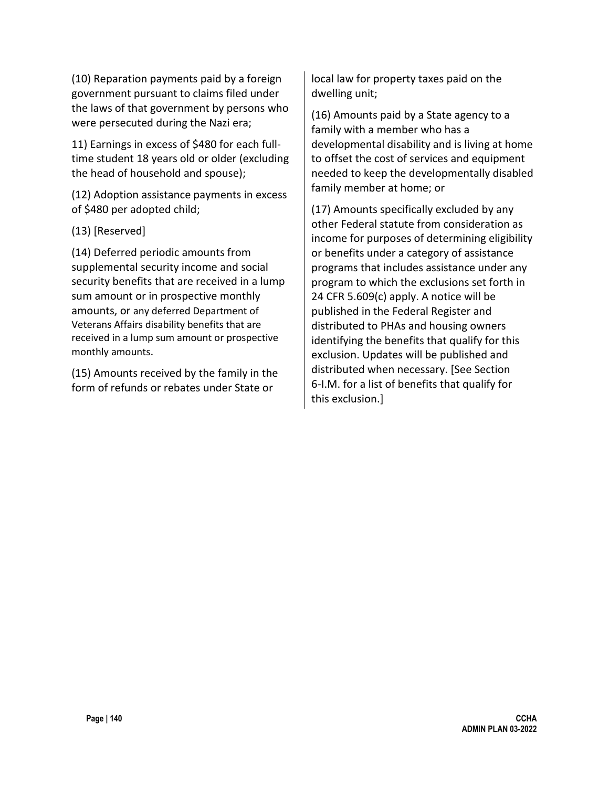(10) Reparation payments paid by a foreign government pursuant to claims filed under the laws of that government by persons who were persecuted during the Nazi era;

11) Earnings in excess of \$480 for each fulltime student 18 years old or older (excluding the head of household and spouse);

(12) Adoption assistance payments in excess of \$480 per adopted child;

#### (13) [Reserved]

(14) Deferred periodic amounts from supplemental security income and social security benefits that are received in a lump sum amount or in prospective monthly amounts, or any deferred Department of Veterans Affairs disability benefits that are received in a lump sum amount or prospective monthly amounts.

(15) Amounts received by the family in the form of refunds or rebates under State or

local law for property taxes paid on the dwelling unit;

(16) Amounts paid by a State agency to a family with a member who has a developmental disability and is living at home to offset the cost of services and equipment needed to keep the developmentally disabled family member at home; or

(17) Amounts specifically excluded by any other Federal statute from consideration as income for purposes of determining eligibility or benefits under a category of assistance programs that includes assistance under any program to which the exclusions set forth in 24 CFR 5.609(c) apply. A notice will be published in the Federal Register and distributed to PHAs and housing owners identifying the benefits that qualify for this exclusion. Updates will be published and distributed when necessary. [See Section 6-I.M. for a list of benefits that qualify for this exclusion.]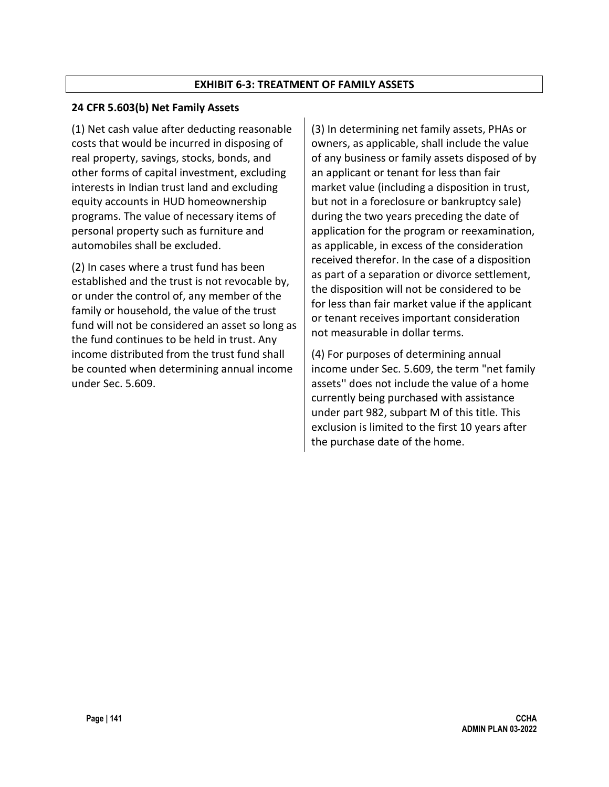#### **EXHIBIT 6-3: TREATMENT OF FAMILY ASSETS**

#### **24 CFR 5.603(b) Net Family Assets**

(1) Net cash value after deducting reasonable costs that would be incurred in disposing of real property, savings, stocks, bonds, and other forms of capital investment, excluding interests in Indian trust land and excluding equity accounts in HUD homeownership programs. The value of necessary items of personal property such as furniture and automobiles shall be excluded.

(2) In cases where a trust fund has been established and the trust is not revocable by, or under the control of, any member of the family or household, the value of the trust fund will not be considered an asset so long as the fund continues to be held in trust. Any income distributed from the trust fund shall be counted when determining annual income under Sec. 5.609.

(3) In determining net family assets, PHAs or owners, as applicable, shall include the value of any business or family assets disposed of by an applicant or tenant for less than fair market value (including a disposition in trust, but not in a foreclosure or bankruptcy sale) during the two years preceding the date of application for the program or reexamination, as applicable, in excess of the consideration received therefor. In the case of a disposition as part of a separation or divorce settlement, the disposition will not be considered to be for less than fair market value if the applicant or tenant receives important consideration not measurable in dollar terms.

(4) For purposes of determining annual income under Sec. 5.609, the term "net family assets'' does not include the value of a home currently being purchased with assistance under part 982, subpart M of this title. This exclusion is limited to the first 10 years after the purchase date of the home.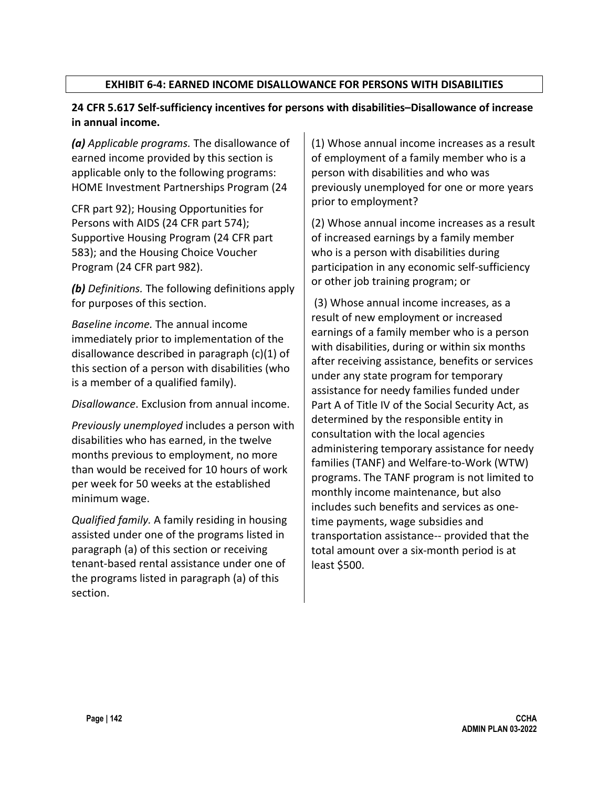### **EXHIBIT 6-4: EARNED INCOME DISALLOWANCE FOR PERSONS WITH DISABILITIES**

### **24 CFR 5.617 Self-sufficiency incentives for persons with disabilities–Disallowance of increase in annual income.**

*(a) Applicable programs.* The disallowance of earned income provided by this section is applicable only to the following programs: HOME Investment Partnerships Program (24

CFR part 92); Housing Opportunities for Persons with AIDS (24 CFR part 574); Supportive Housing Program (24 CFR part 583); and the Housing Choice Voucher Program (24 CFR part 982).

*(b) Definitions.* The following definitions apply for purposes of this section.

*Baseline income.* The annual income immediately prior to implementation of the disallowance described in paragraph (c)(1) of this section of a person with disabilities (who is a member of a qualified family).

*Disallowance*. Exclusion from annual income.

*Previously unemployed* includes a person with disabilities who has earned, in the twelve months previous to employment, no more than would be received for 10 hours of work per week for 50 weeks at the established minimum wage.

*Qualified family.* A family residing in housing assisted under one of the programs listed in paragraph (a) of this section or receiving tenant-based rental assistance under one of the programs listed in paragraph (a) of this section.

(1) Whose annual income increases as a result of employment of a family member who is a person with disabilities and who was previously unemployed for one or more years prior to employment?

(2) Whose annual income increases as a result of increased earnings by a family member who is a person with disabilities during participation in any economic self-sufficiency or other job training program; or

(3) Whose annual income increases, as a result of new employment or increased earnings of a family member who is a person with disabilities, during or within six months after receiving assistance, benefits or services under any state program for temporary assistance for needy families funded under Part A of Title IV of the Social Security Act, as determined by the responsible entity in consultation with the local agencies administering temporary assistance for needy families (TANF) and Welfare-to-Work (WTW) programs. The TANF program is not limited to monthly income maintenance, but also includes such benefits and services as onetime payments, wage subsidies and transportation assistance-- provided that the total amount over a six-month period is at least \$500.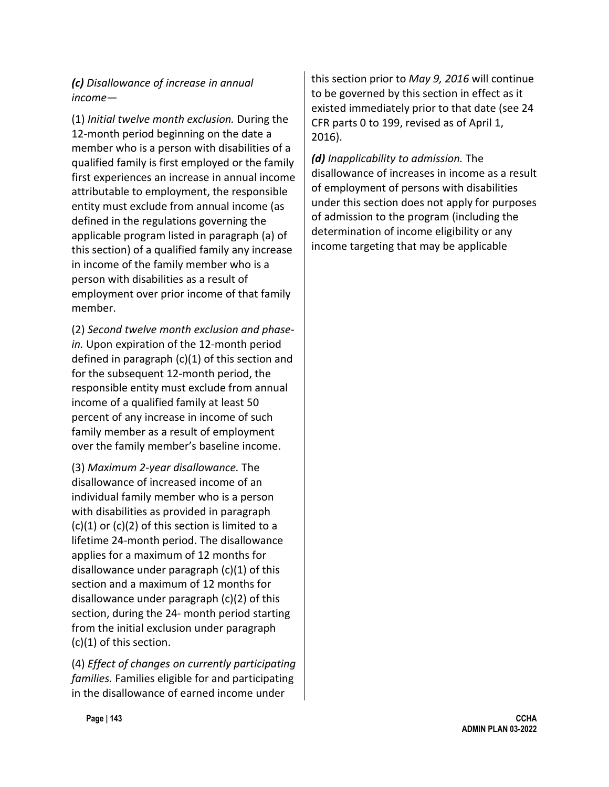*(c) Disallowance of increase in annual income—*

(1) *Initial twelve month exclusion.* During the 12-month period beginning on the date a member who is a person with disabilities of a qualified family is first employed or the family first experiences an increase in annual income attributable to employment, the responsible entity must exclude from annual income (as defined in the regulations governing the applicable program listed in paragraph (a) of this section) of a qualified family any increase in income of the family member who is a person with disabilities as a result of employment over prior income of that family member.

(2) *Second twelve month exclusion and phasein.* Upon expiration of the 12-month period defined in paragraph (c)(1) of this section and for the subsequent 12-month period, the responsible entity must exclude from annual income of a qualified family at least 50 percent of any increase in income of such family member as a result of employment over the family member's baseline income.

(3) *Maximum 2-year disallowance.* The disallowance of increased income of an individual family member who is a person with disabilities as provided in paragraph  $(c)(1)$  or  $(c)(2)$  of this section is limited to a lifetime 24-month period. The disallowance applies for a maximum of 12 months for disallowance under paragraph (c)(1) of this section and a maximum of 12 months for disallowance under paragraph (c)(2) of this section, during the 24- month period starting from the initial exclusion under paragraph (c)(1) of this section.

(4) *Effect of changes on currently participating families.* Families eligible for and participating in the disallowance of earned income under

this section prior to *May 9, 2016* will continue to be governed by this section in effect as it existed immediately prior to that date (see 24 CFR parts 0 to 199, revised as of April 1, 2016).

*(d) Inapplicability to admission.* The disallowance of increases in income as a result of employment of persons with disabilities under this section does not apply for purposes of admission to the program (including the determination of income eligibility or any income targeting that may be applicable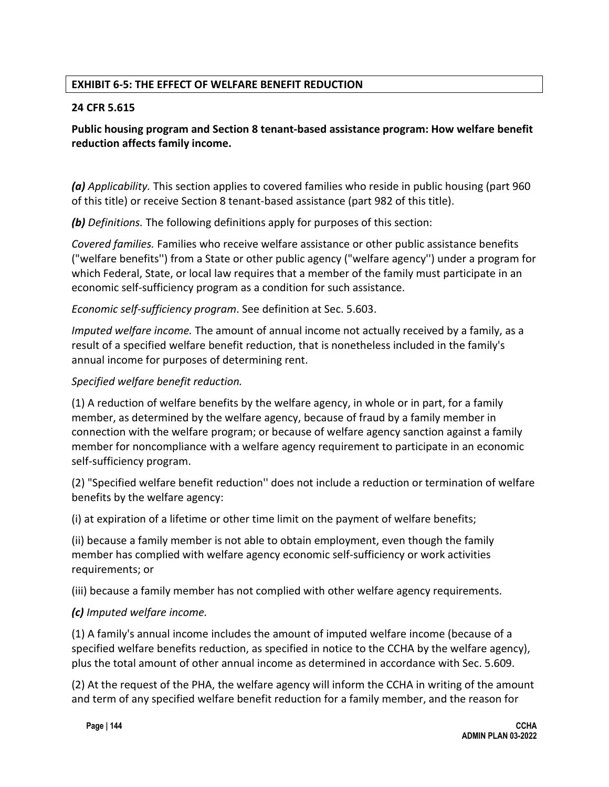### **EXHIBIT 6-5: THE EFFECT OF WELFARE BENEFIT REDUCTION**

#### **24 CFR 5.615**

### **Public housing program and Section 8 tenant-based assistance program: How welfare benefit reduction affects family income.**

*(a) Applicability.* This section applies to covered families who reside in public housing (part 960 of this title) or receive Section 8 tenant-based assistance (part 982 of this title).

*(b) Definitions.* The following definitions apply for purposes of this section:

*Covered families.* Families who receive welfare assistance or other public assistance benefits ("welfare benefits'') from a State or other public agency ("welfare agency'') under a program for which Federal, State, or local law requires that a member of the family must participate in an economic self-sufficiency program as a condition for such assistance.

#### *Economic self-sufficiency program*. See definition at Sec. 5.603.

*Imputed welfare income.* The amount of annual income not actually received by a family, as a result of a specified welfare benefit reduction, that is nonetheless included in the family's annual income for purposes of determining rent.

#### *Specified welfare benefit reduction.*

(1) A reduction of welfare benefits by the welfare agency, in whole or in part, for a family member, as determined by the welfare agency, because of fraud by a family member in connection with the welfare program; or because of welfare agency sanction against a family member for noncompliance with a welfare agency requirement to participate in an economic self-sufficiency program.

(2) "Specified welfare benefit reduction'' does not include a reduction or termination of welfare benefits by the welfare agency:

(i) at expiration of a lifetime or other time limit on the payment of welfare benefits;

(ii) because a family member is not able to obtain employment, even though the family member has complied with welfare agency economic self-sufficiency or work activities requirements; or

(iii) because a family member has not complied with other welfare agency requirements.

### *(c) Imputed welfare income.*

(1) A family's annual income includes the amount of imputed welfare income (because of a specified welfare benefits reduction, as specified in notice to the CCHA by the welfare agency), plus the total amount of other annual income as determined in accordance with Sec. 5.609.

(2) At the request of the PHA, the welfare agency will inform the CCHA in writing of the amount and term of any specified welfare benefit reduction for a family member, and the reason for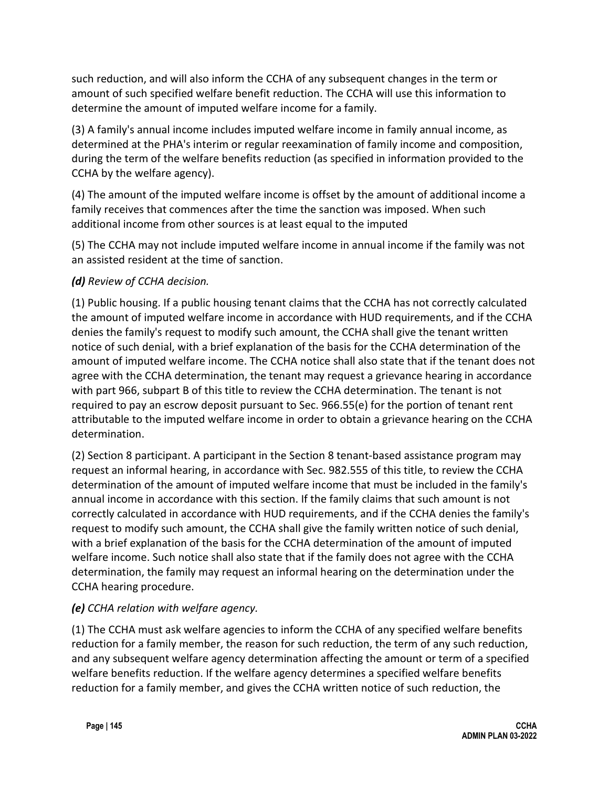such reduction, and will also inform the CCHA of any subsequent changes in the term or amount of such specified welfare benefit reduction. The CCHA will use this information to determine the amount of imputed welfare income for a family.

(3) A family's annual income includes imputed welfare income in family annual income, as determined at the PHA's interim or regular reexamination of family income and composition, during the term of the welfare benefits reduction (as specified in information provided to the CCHA by the welfare agency).

(4) The amount of the imputed welfare income is offset by the amount of additional income a family receives that commences after the time the sanction was imposed. When such additional income from other sources is at least equal to the imputed

(5) The CCHA may not include imputed welfare income in annual income if the family was not an assisted resident at the time of sanction.

## *(d) Review of CCHA decision.*

(1) Public housing. If a public housing tenant claims that the CCHA has not correctly calculated the amount of imputed welfare income in accordance with HUD requirements, and if the CCHA denies the family's request to modify such amount, the CCHA shall give the tenant written notice of such denial, with a brief explanation of the basis for the CCHA determination of the amount of imputed welfare income. The CCHA notice shall also state that if the tenant does not agree with the CCHA determination, the tenant may request a grievance hearing in accordance with part 966, subpart B of this title to review the CCHA determination. The tenant is not required to pay an escrow deposit pursuant to Sec. 966.55(e) for the portion of tenant rent attributable to the imputed welfare income in order to obtain a grievance hearing on the CCHA determination.

(2) Section 8 participant. A participant in the Section 8 tenant-based assistance program may request an informal hearing, in accordance with Sec. 982.555 of this title, to review the CCHA determination of the amount of imputed welfare income that must be included in the family's annual income in accordance with this section. If the family claims that such amount is not correctly calculated in accordance with HUD requirements, and if the CCHA denies the family's request to modify such amount, the CCHA shall give the family written notice of such denial, with a brief explanation of the basis for the CCHA determination of the amount of imputed welfare income. Such notice shall also state that if the family does not agree with the CCHA determination, the family may request an informal hearing on the determination under the CCHA hearing procedure.

### *(e) CCHA relation with welfare agency.*

(1) The CCHA must ask welfare agencies to inform the CCHA of any specified welfare benefits reduction for a family member, the reason for such reduction, the term of any such reduction, and any subsequent welfare agency determination affecting the amount or term of a specified welfare benefits reduction. If the welfare agency determines a specified welfare benefits reduction for a family member, and gives the CCHA written notice of such reduction, the